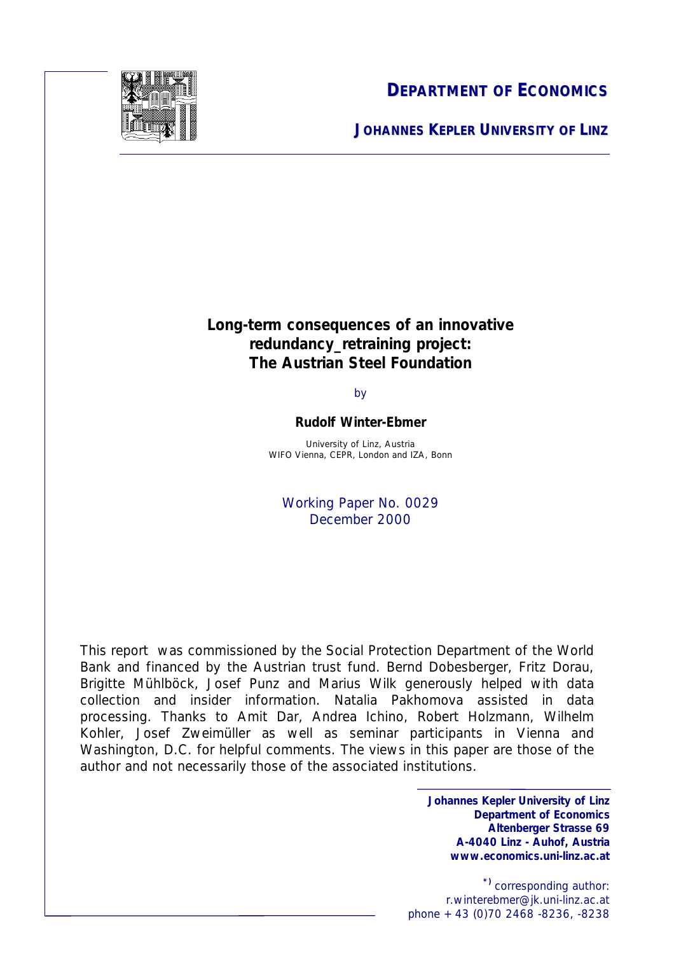

**DEPARTMENT OF ECONOMICS**

**JOHANNES KEPLER UNIVERSITY OF LINZ**

## **Long-term consequences of an innovative redundancy\_retraining project: The Austrian Steel Foundation**

by

## **Rudolf Winter-Ebmer**

University of Linz, Austria WIFO Vienna, CEPR, London and IZA, Bonn

Working Paper No. 0029 December 2000

This report was commissioned by the Social Protection Department of the World Bank and financed by the Austrian trust fund. Bernd Dobesberger, Fritz Dorau, Brigitte Mühlböck, Josef Punz and Marius Wilk generously helped with data collection and insider information. Natalia Pakhomova assisted in data processing. Thanks to Amit Dar, Andrea Ichino, Robert Holzmann, Wilhelm Kohler, Josef Zweimüller as well as seminar participants in Vienna and Washington, D.C. for helpful comments. The views in this paper are those of the author and not necessarily those of the associated institutions.

> **Johannes Kepler University of Linz Department of Economics Altenberger Strasse 69 A-4040 Linz - Auhof, Austria www.economics.uni-linz.ac.at**

1 r.winterebmer@jk.uni-linz.ac.at **\*)** corresponding author: phone +43 (0)70 2468 -8236, -8238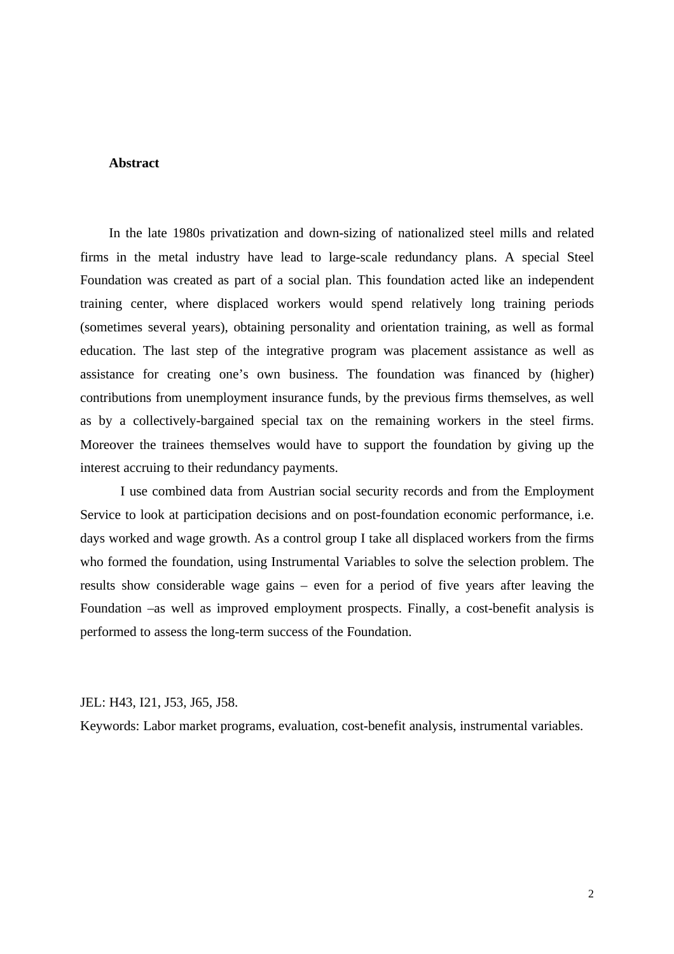### **Abstract**

In the late 1980s privatization and down-sizing of nationalized steel mills and related firms in the metal industry have lead to large-scale redundancy plans. A special Steel Foundation was created as part of a social plan. This foundation acted like an independent training center, where displaced workers would spend relatively long training periods (sometimes several years), obtaining personality and orientation training, as well as formal education. The last step of the integrative program was placement assistance as well as assistance for creating one's own business. The foundation was financed by (higher) contributions from unemployment insurance funds, by the previous firms themselves, as well as by a collectively-bargained special tax on the remaining workers in the steel firms. Moreover the trainees themselves would have to support the foundation by giving up the interest accruing to their redundancy payments.

I use combined data from Austrian social security records and from the Employment Service to look at participation decisions and on post-foundation economic performance, i.e. days worked and wage growth. As a control group I take all displaced workers from the firms who formed the foundation, using Instrumental Variables to solve the selection problem. The results show considerable wage gains – even for a period of five years after leaving the Foundation –as well as improved employment prospects. Finally, a cost-benefit analysis is performed to assess the long-term success of the Foundation.

JEL: H43, I21, J53, J65, J58.

Keywords: Labor market programs, evaluation, cost-benefit analysis, instrumental variables.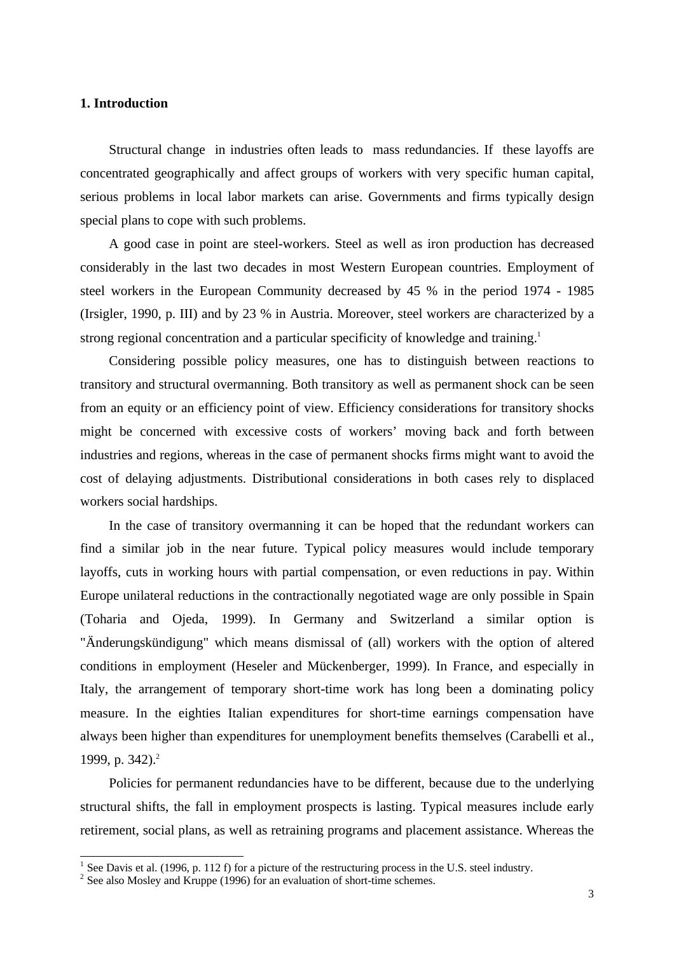### **1. Introduction**

Structural change in industries often leads to mass redundancies. If these layoffs are concentrated geographically and affect groups of workers with very specific human capital, serious problems in local labor markets can arise. Governments and firms typically design special plans to cope with such problems.

A good case in point are steel-workers. Steel as well as iron production has decreased considerably in the last two decades in most Western European countries. Employment of steel workers in the European Community decreased by 45 % in the period 1974 - 1985 (Irsigler, 1990, p. III) and by 23 % in Austria. Moreover, steel workers are characterized by a strong regional concentration and a particular specificity of knowledge and training.<sup>1</sup>

Considering possible policy measures, one has to distinguish between reactions to transitory and structural overmanning. Both transitory as well as permanent shock can be seen from an equity or an efficiency point of view. Efficiency considerations for transitory shocks might be concerned with excessive costs of workers' moving back and forth between industries and regions, whereas in the case of permanent shocks firms might want to avoid the cost of delaying adjustments. Distributional considerations in both cases rely to displaced workers social hardships.

In the case of transitory overmanning it can be hoped that the redundant workers can find a similar job in the near future. Typical policy measures would include temporary layoffs, cuts in working hours with partial compensation, or even reductions in pay. Within Europe unilateral reductions in the contractionally negotiated wage are only possible in Spain (Toharia and Ojeda, 1999). In Germany and Switzerland a similar option is "Änderungskündigung" which means dismissal of (all) workers with the option of altered conditions in employment (Heseler and Mückenberger, 1999). In France, and especially in Italy, the arrangement of temporary short-time work has long been a dominating policy measure. In the eighties Italian expenditures for short-time earnings compensation have always been higher than expenditures for unemployment benefits themselves (Carabelli et al., 1999, p. 342).<sup>2</sup>

Policies for permanent redundancies have to be different, because due to the underlying structural shifts, the fall in employment prospects is lasting. Typical measures include early retirement, social plans, as well as retraining programs and placement assistance. Whereas the

<sup>&</sup>lt;sup>1</sup> See Davis et al. (1996, p. 112 f) for a picture of the restructuring process in the U.S. steel industry.

 $2^2$  See also Mosley and Kruppe (1996) for an evaluation of short-time schemes.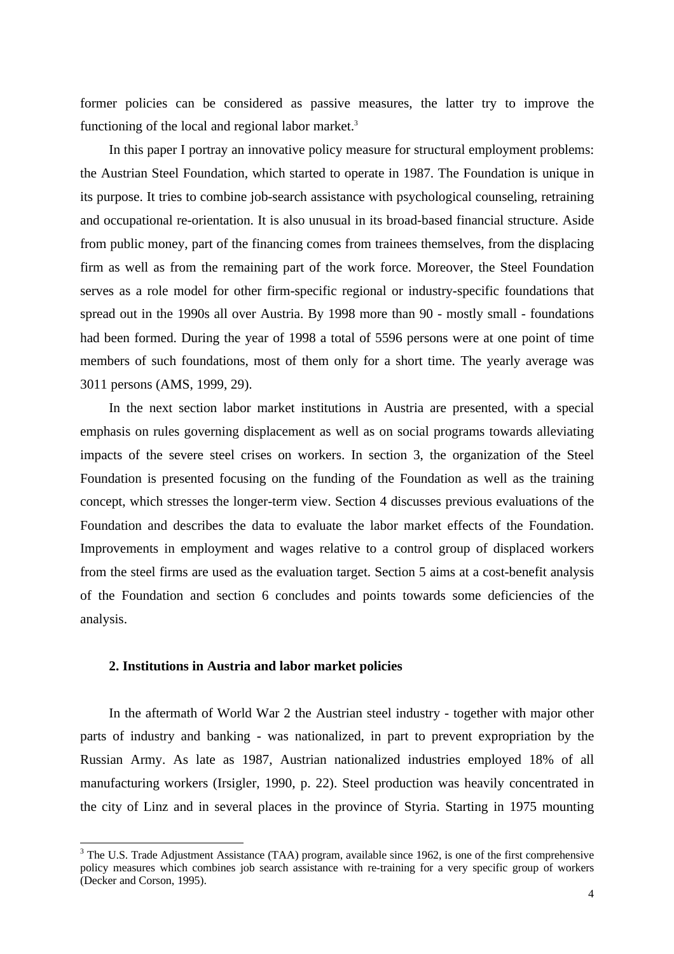former policies can be considered as passive measures, the latter try to improve the functioning of the local and regional labor market.<sup>3</sup>

In this paper I portray an innovative policy measure for structural employment problems: the Austrian Steel Foundation, which started to operate in 1987. The Foundation is unique in its purpose. It tries to combine job-search assistance with psychological counseling, retraining and occupational re-orientation. It is also unusual in its broad-based financial structure. Aside from public money, part of the financing comes from trainees themselves, from the displacing firm as well as from the remaining part of the work force. Moreover, the Steel Foundation serves as a role model for other firm-specific regional or industry-specific foundations that spread out in the 1990s all over Austria. By 1998 more than 90 - mostly small - foundations had been formed. During the year of 1998 a total of 5596 persons were at one point of time members of such foundations, most of them only for a short time. The yearly average was 3011 persons (AMS, 1999, 29).

In the next section labor market institutions in Austria are presented, with a special emphasis on rules governing displacement as well as on social programs towards alleviating impacts of the severe steel crises on workers. In section 3, the organization of the Steel Foundation is presented focusing on the funding of the Foundation as well as the training concept, which stresses the longer-term view. Section 4 discusses previous evaluations of the Foundation and describes the data to evaluate the labor market effects of the Foundation. Improvements in employment and wages relative to a control group of displaced workers from the steel firms are used as the evaluation target. Section 5 aims at a cost-benefit analysis of the Foundation and section 6 concludes and points towards some deficiencies of the analysis.

### **2. Institutions in Austria and labor market policies**

In the aftermath of World War 2 the Austrian steel industry - together with major other parts of industry and banking - was nationalized, in part to prevent expropriation by the Russian Army. As late as 1987, Austrian nationalized industries employed 18% of all manufacturing workers (Irsigler, 1990, p. 22). Steel production was heavily concentrated in the city of Linz and in several places in the province of Styria. Starting in 1975 mounting

<sup>&</sup>lt;sup>3</sup> The U.S. Trade Adjustment Assistance (TAA) program, available since 1962, is one of the first comprehensive policy measures which combines job search assistance with re-training for a very specific group of workers (Decker and Corson, 1995).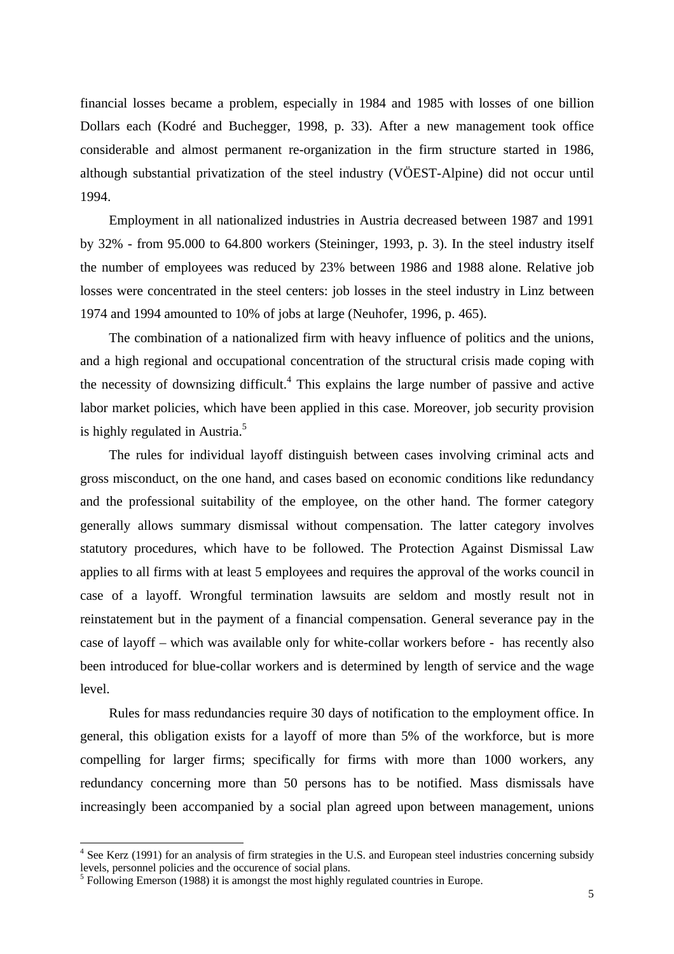financial losses became a problem, especially in 1984 and 1985 with losses of one billion Dollars each (Kodré and Buchegger, 1998, p. 33). After a new management took office considerable and almost permanent re-organization in the firm structure started in 1986, although substantial privatization of the steel industry (VÖEST-Alpine) did not occur until 1994.

Employment in all nationalized industries in Austria decreased between 1987 and 1991 by 32% - from 95.000 to 64.800 workers (Steininger, 1993, p. 3). In the steel industry itself the number of employees was reduced by 23% between 1986 and 1988 alone. Relative job losses were concentrated in the steel centers: job losses in the steel industry in Linz between 1974 and 1994 amounted to 10% of jobs at large (Neuhofer, 1996, p. 465).

The combination of a nationalized firm with heavy influence of politics and the unions, and a high regional and occupational concentration of the structural crisis made coping with the necessity of downsizing difficult.<sup>4</sup> This explains the large number of passive and active labor market policies, which have been applied in this case. Moreover, job security provision is highly regulated in Austria.<sup>5</sup>

The rules for individual layoff distinguish between cases involving criminal acts and gross misconduct, on the one hand, and cases based on economic conditions like redundancy and the professional suitability of the employee, on the other hand. The former category generally allows summary dismissal without compensation. The latter category involves statutory procedures, which have to be followed. The Protection Against Dismissal Law applies to all firms with at least 5 employees and requires the approval of the works council in case of a layoff. Wrongful termination lawsuits are seldom and mostly result not in reinstatement but in the payment of a financial compensation. General severance pay in the case of layoff – which was available only for white-collar workers before - has recently also been introduced for blue-collar workers and is determined by length of service and the wage level.

Rules for mass redundancies require 30 days of notification to the employment office. In general, this obligation exists for a layoff of more than 5% of the workforce, but is more compelling for larger firms; specifically for firms with more than 1000 workers, any redundancy concerning more than 50 persons has to be notified. Mass dismissals have increasingly been accompanied by a social plan agreed upon between management, unions

<sup>&</sup>lt;sup>4</sup> See Kerz (1991) for an analysis of firm strategies in the U.S. and European steel industries concerning subsidy levels, personnel policies and the occurence of social plans.

<sup>&</sup>lt;sup>5</sup> Following Emerson (1988) it is amongst the most highly regulated countries in Europe.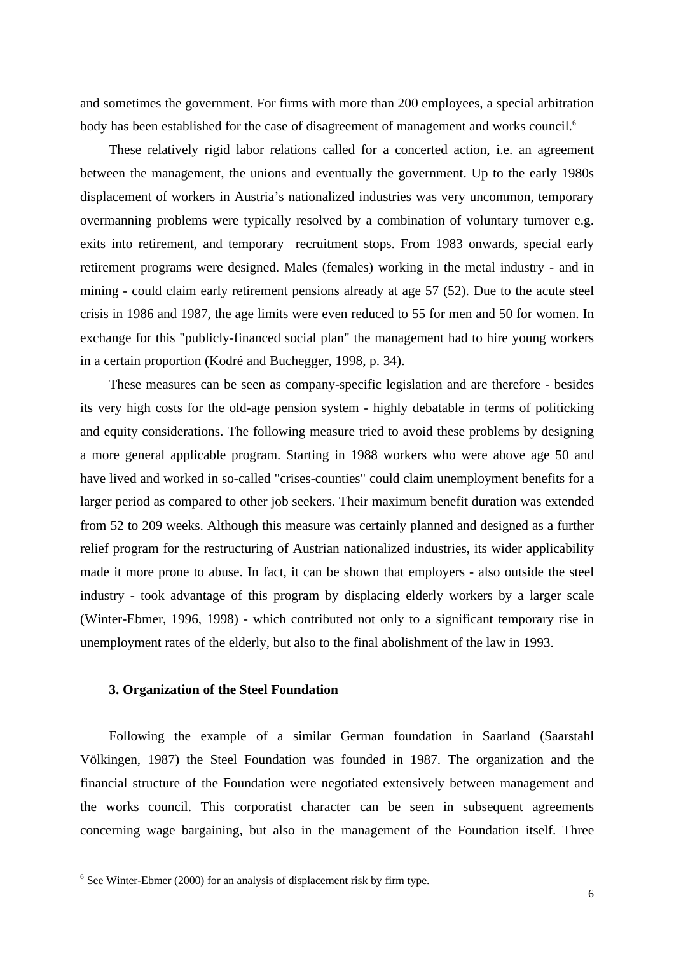and sometimes the government. For firms with more than 200 employees, a special arbitration body has been established for the case of disagreement of management and works council.<sup>6</sup>

These relatively rigid labor relations called for a concerted action, i.e. an agreement between the management, the unions and eventually the government. Up to the early 1980s displacement of workers in Austria's nationalized industries was very uncommon, temporary overmanning problems were typically resolved by a combination of voluntary turnover e.g. exits into retirement, and temporary recruitment stops. From 1983 onwards, special early retirement programs were designed. Males (females) working in the metal industry - and in mining - could claim early retirement pensions already at age 57 (52). Due to the acute steel crisis in 1986 and 1987, the age limits were even reduced to 55 for men and 50 for women. In exchange for this "publicly-financed social plan" the management had to hire young workers in a certain proportion (Kodré and Buchegger, 1998, p. 34).

These measures can be seen as company-specific legislation and are therefore - besides its very high costs for the old-age pension system - highly debatable in terms of politicking and equity considerations. The following measure tried to avoid these problems by designing a more general applicable program. Starting in 1988 workers who were above age 50 and have lived and worked in so-called "crises-counties" could claim unemployment benefits for a larger period as compared to other job seekers. Their maximum benefit duration was extended from 52 to 209 weeks. Although this measure was certainly planned and designed as a further relief program for the restructuring of Austrian nationalized industries, its wider applicability made it more prone to abuse. In fact, it can be shown that employers - also outside the steel industry - took advantage of this program by displacing elderly workers by a larger scale (Winter-Ebmer, 1996, 1998) - which contributed not only to a significant temporary rise in unemployment rates of the elderly, but also to the final abolishment of the law in 1993.

## **3. Organization of the Steel Foundation**

Following the example of a similar German foundation in Saarland (Saarstahl Völkingen, 1987) the Steel Foundation was founded in 1987. The organization and the financial structure of the Foundation were negotiated extensively between management and the works council. This corporatist character can be seen in subsequent agreements concerning wage bargaining, but also in the management of the Foundation itself. Three

 6 See Winter-Ebmer (2000) for an analysis of displacement risk by firm type.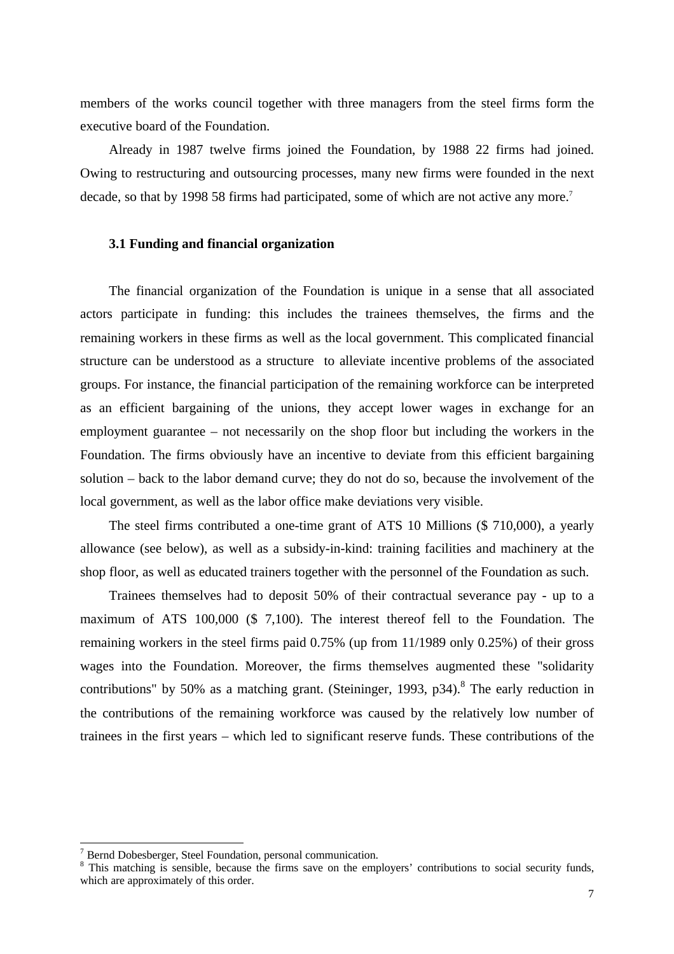members of the works council together with three managers from the steel firms form the executive board of the Foundation.

Already in 1987 twelve firms joined the Foundation, by 1988 22 firms had joined. Owing to restructuring and outsourcing processes, many new firms were founded in the next decade, so that by 1998 58 firms had participated, some of which are not active any more.<sup>7</sup>

## **3.1 Funding and financial organization**

The financial organization of the Foundation is unique in a sense that all associated actors participate in funding: this includes the trainees themselves, the firms and the remaining workers in these firms as well as the local government. This complicated financial structure can be understood as a structure to alleviate incentive problems of the associated groups. For instance, the financial participation of the remaining workforce can be interpreted as an efficient bargaining of the unions, they accept lower wages in exchange for an employment guarantee – not necessarily on the shop floor but including the workers in the Foundation. The firms obviously have an incentive to deviate from this efficient bargaining solution – back to the labor demand curve; they do not do so, because the involvement of the local government, as well as the labor office make deviations very visible.

The steel firms contributed a one-time grant of ATS 10 Millions (\$ 710,000), a yearly allowance (see below), as well as a subsidy-in-kind: training facilities and machinery at the shop floor, as well as educated trainers together with the personnel of the Foundation as such.

Trainees themselves had to deposit 50% of their contractual severance pay - up to a maximum of ATS 100,000 (\$ 7,100). The interest thereof fell to the Foundation. The remaining workers in the steel firms paid 0.75% (up from 11/1989 only 0.25%) of their gross wages into the Foundation. Moreover, the firms themselves augmented these "solidarity contributions" by 50% as a matching grant. (Steininger, 1993, p34).<sup>8</sup> The early reduction in the contributions of the remaining workforce was caused by the relatively low number of trainees in the first years – which led to significant reserve funds. These contributions of the

<sup>&</sup>lt;sup>7</sup> Bernd Dobesberger, Steel Foundation, personal communication.

<sup>&</sup>lt;sup>8</sup> This matching is sensible, because the firms save on the employers' contributions to social security funds, which are approximately of this order.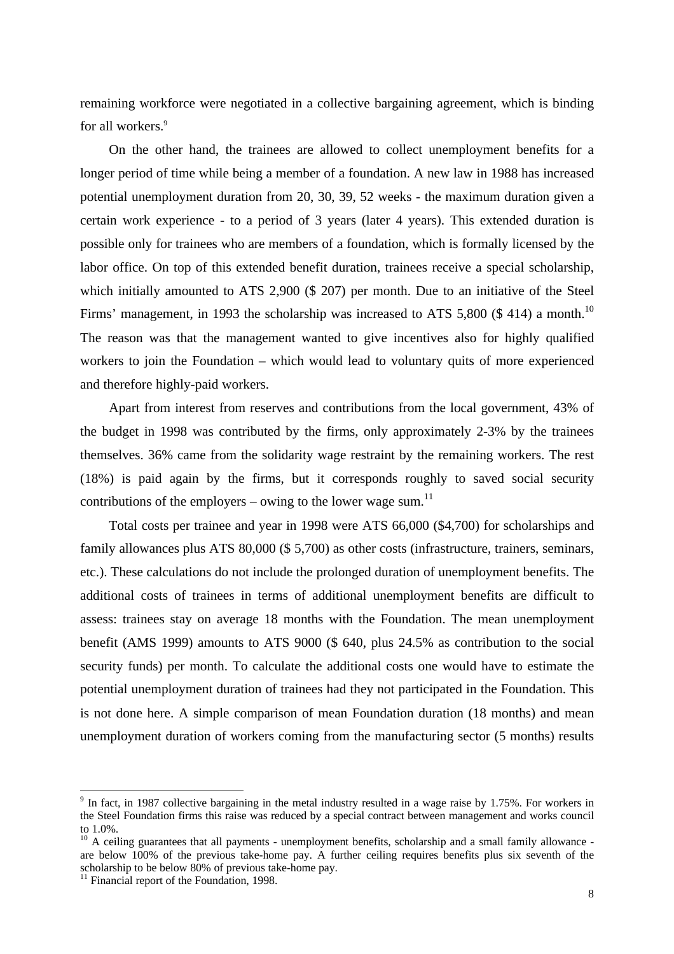remaining workforce were negotiated in a collective bargaining agreement, which is binding for all workers.<sup>9</sup>

On the other hand, the trainees are allowed to collect unemployment benefits for a longer period of time while being a member of a foundation. A new law in 1988 has increased potential unemployment duration from 20, 30, 39, 52 weeks - the maximum duration given a certain work experience - to a period of 3 years (later 4 years). This extended duration is possible only for trainees who are members of a foundation, which is formally licensed by the labor office. On top of this extended benefit duration, trainees receive a special scholarship, which initially amounted to ATS 2,900 (\$ 207) per month. Due to an initiative of the Steel Firms' management, in 1993 the scholarship was increased to ATS 5,800  $(\$ 414)$  a month.<sup>10</sup> The reason was that the management wanted to give incentives also for highly qualified workers to join the Foundation – which would lead to voluntary quits of more experienced and therefore highly-paid workers.

Apart from interest from reserves and contributions from the local government, 43% of the budget in 1998 was contributed by the firms, only approximately 2-3% by the trainees themselves. 36% came from the solidarity wage restraint by the remaining workers. The rest (18%) is paid again by the firms, but it corresponds roughly to saved social security contributions of the employers – owing to the lower wage sum.<sup>11</sup>

Total costs per trainee and year in 1998 were ATS 66,000 (\$4,700) for scholarships and family allowances plus ATS 80,000 (\$ 5,700) as other costs (infrastructure, trainers, seminars, etc.). These calculations do not include the prolonged duration of unemployment benefits. The additional costs of trainees in terms of additional unemployment benefits are difficult to assess: trainees stay on average 18 months with the Foundation. The mean unemployment benefit (AMS 1999) amounts to ATS 9000 (\$ 640, plus 24.5% as contribution to the social security funds) per month. To calculate the additional costs one would have to estimate the potential unemployment duration of trainees had they not participated in the Foundation. This is not done here. A simple comparison of mean Foundation duration (18 months) and mean unemployment duration of workers coming from the manufacturing sector (5 months) results

 $9$  In fact, in 1987 collective bargaining in the metal industry resulted in a wage raise by 1.75%. For workers in the Steel Foundation firms this raise was reduced by a special contract between management and works council to 1.0%.

<sup>&</sup>lt;sup>10</sup> A ceiling guarantees that all payments - unemployment benefits, scholarship and a small family allowance are below 100% of the previous take-home pay. A further ceiling requires benefits plus six seventh of the scholarship to be below 80% of previous take-home pay.

 $\frac{1}{11}$  Financial report of the Foundation, 1998.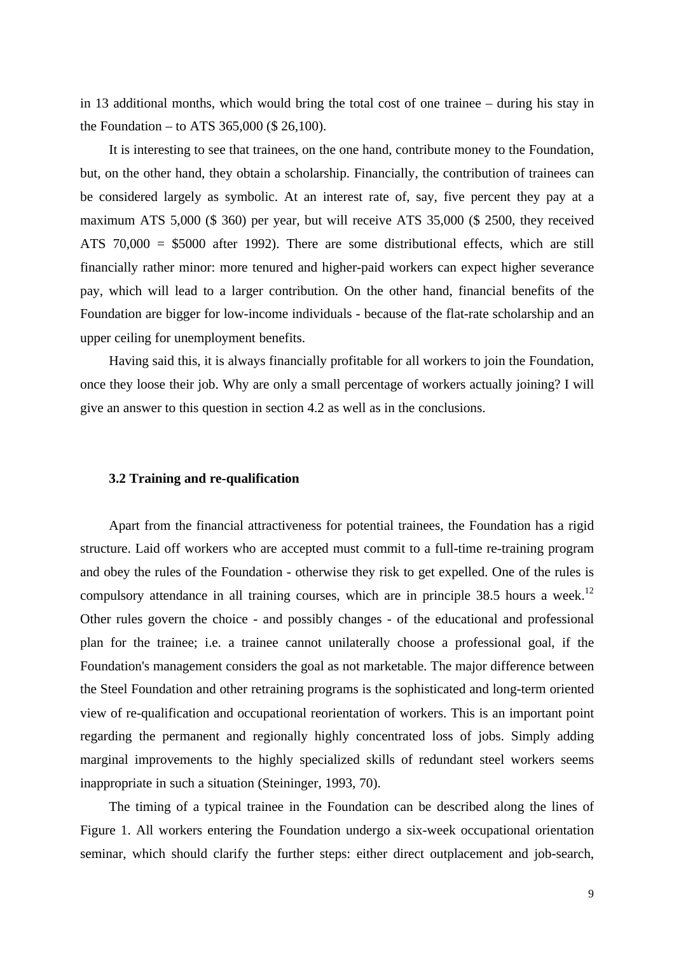in 13 additional months, which would bring the total cost of one trainee – during his stay in the Foundation – to ATS 365,000 (\$ 26,100).

It is interesting to see that trainees, on the one hand, contribute money to the Foundation, but, on the other hand, they obtain a scholarship. Financially, the contribution of trainees can be considered largely as symbolic. At an interest rate of, say, five percent they pay at a maximum ATS 5,000 (\$ 360) per year, but will receive ATS 35,000 (\$ 2500, they received ATS 70,000 = \$5000 after 1992). There are some distributional effects, which are still financially rather minor: more tenured and higher-paid workers can expect higher severance pay, which will lead to a larger contribution. On the other hand, financial benefits of the Foundation are bigger for low-income individuals - because of the flat-rate scholarship and an upper ceiling for unemployment benefits.

Having said this, it is always financially profitable for all workers to join the Foundation, once they loose their job. Why are only a small percentage of workers actually joining? I will give an answer to this question in section 4.2 as well as in the conclusions.

#### **3.2 Training and re-qualification**

Apart from the financial attractiveness for potential trainees, the Foundation has a rigid structure. Laid off workers who are accepted must commit to a full-time re-training program and obey the rules of the Foundation - otherwise they risk to get expelled. One of the rules is compulsory attendance in all training courses, which are in principle  $38.5$  hours a week.<sup>12</sup> Other rules govern the choice - and possibly changes - of the educational and professional plan for the trainee; i.e. a trainee cannot unilaterally choose a professional goal, if the Foundation's management considers the goal as not marketable. The major difference between the Steel Foundation and other retraining programs is the sophisticated and long-term oriented view of re-qualification and occupational reorientation of workers. This is an important point regarding the permanent and regionally highly concentrated loss of jobs. Simply adding marginal improvements to the highly specialized skills of redundant steel workers seems inappropriate in such a situation (Steininger, 1993, 70).

The timing of a typical trainee in the Foundation can be described along the lines of Figure 1. All workers entering the Foundation undergo a six-week occupational orientation seminar, which should clarify the further steps: either direct outplacement and job-search,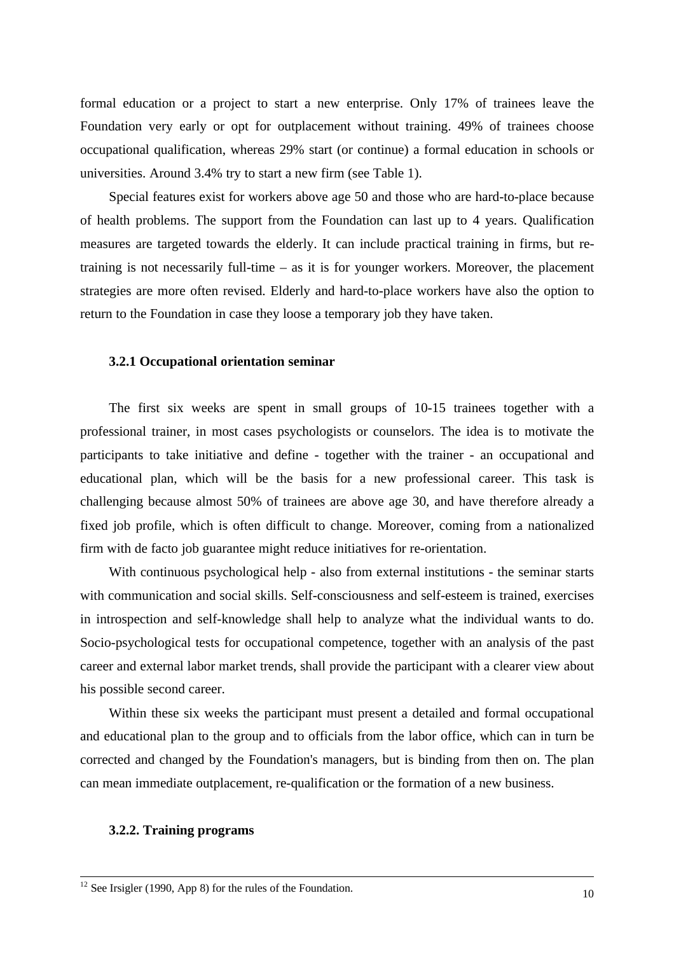formal education or a project to start a new enterprise. Only 17% of trainees leave the Foundation very early or opt for outplacement without training. 49% of trainees choose occupational qualification, whereas 29% start (or continue) a formal education in schools or universities. Around 3.4% try to start a new firm (see Table 1).

Special features exist for workers above age 50 and those who are hard-to-place because of health problems. The support from the Foundation can last up to 4 years. Qualification measures are targeted towards the elderly. It can include practical training in firms, but retraining is not necessarily full-time – as it is for younger workers. Moreover, the placement strategies are more often revised. Elderly and hard-to-place workers have also the option to return to the Foundation in case they loose a temporary job they have taken.

### **3.2.1 Occupational orientation seminar**

The first six weeks are spent in small groups of 10-15 trainees together with a professional trainer, in most cases psychologists or counselors. The idea is to motivate the participants to take initiative and define - together with the trainer - an occupational and educational plan, which will be the basis for a new professional career. This task is challenging because almost 50% of trainees are above age 30, and have therefore already a fixed job profile, which is often difficult to change. Moreover, coming from a nationalized firm with de facto job guarantee might reduce initiatives for re-orientation.

With continuous psychological help - also from external institutions - the seminar starts with communication and social skills. Self-consciousness and self-esteem is trained, exercises in introspection and self-knowledge shall help to analyze what the individual wants to do. Socio-psychological tests for occupational competence, together with an analysis of the past career and external labor market trends, shall provide the participant with a clearer view about his possible second career.

Within these six weeks the participant must present a detailed and formal occupational and educational plan to the group and to officials from the labor office, which can in turn be corrected and changed by the Foundation's managers, but is binding from then on. The plan can mean immediate outplacement, re-qualification or the formation of a new business.

#### **3.2.2. Training programs**

1

 $12$  See Irsigler (1990, App 8) for the rules of the Foundation.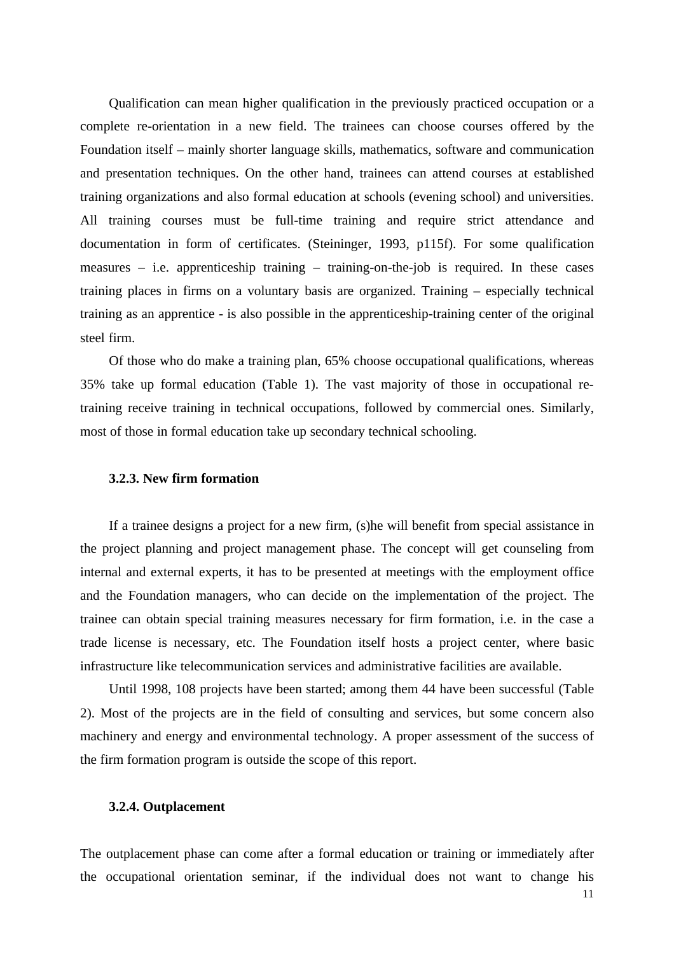Qualification can mean higher qualification in the previously practiced occupation or a complete re-orientation in a new field. The trainees can choose courses offered by the Foundation itself – mainly shorter language skills, mathematics, software and communication and presentation techniques. On the other hand, trainees can attend courses at established training organizations and also formal education at schools (evening school) and universities. All training courses must be full-time training and require strict attendance and documentation in form of certificates. (Steininger, 1993, p115f). For some qualification measures – i.e. apprenticeship training – training-on-the-job is required. In these cases training places in firms on a voluntary basis are organized. Training – especially technical training as an apprentice - is also possible in the apprenticeship-training center of the original steel firm.

Of those who do make a training plan, 65% choose occupational qualifications, whereas 35% take up formal education (Table 1). The vast majority of those in occupational retraining receive training in technical occupations, followed by commercial ones. Similarly, most of those in formal education take up secondary technical schooling.

## **3.2.3. New firm formation**

If a trainee designs a project for a new firm, (s)he will benefit from special assistance in the project planning and project management phase. The concept will get counseling from internal and external experts, it has to be presented at meetings with the employment office and the Foundation managers, who can decide on the implementation of the project. The trainee can obtain special training measures necessary for firm formation, i.e. in the case a trade license is necessary, etc. The Foundation itself hosts a project center, where basic infrastructure like telecommunication services and administrative facilities are available.

Until 1998, 108 projects have been started; among them 44 have been successful (Table 2). Most of the projects are in the field of consulting and services, but some concern also machinery and energy and environmental technology. A proper assessment of the success of the firm formation program is outside the scope of this report.

#### **3.2.4. Outplacement**

The outplacement phase can come after a formal education or training or immediately after the occupational orientation seminar, if the individual does not want to change his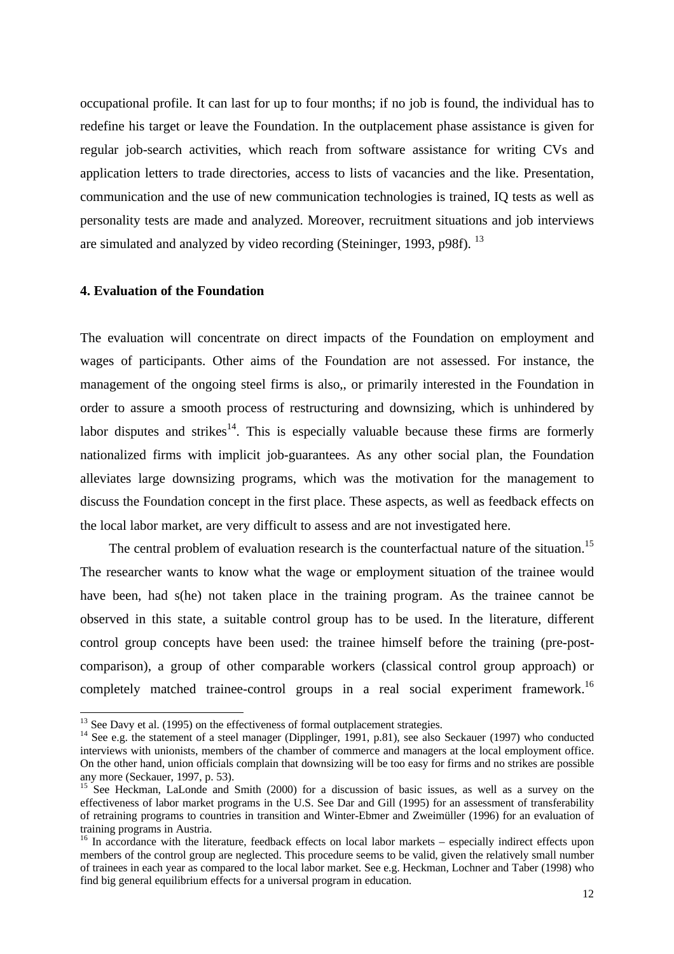occupational profile. It can last for up to four months; if no job is found, the individual has to redefine his target or leave the Foundation. In the outplacement phase assistance is given for regular job-search activities, which reach from software assistance for writing CVs and application letters to trade directories, access to lists of vacancies and the like. Presentation, communication and the use of new communication technologies is trained, IQ tests as well as personality tests are made and analyzed. Moreover, recruitment situations and job interviews are simulated and analyzed by video recording (Steininger, 1993, p98f). <sup>13</sup>

## **4. Evaluation of the Foundation**

-

The evaluation will concentrate on direct impacts of the Foundation on employment and wages of participants. Other aims of the Foundation are not assessed. For instance, the management of the ongoing steel firms is also,, or primarily interested in the Foundation in order to assure a smooth process of restructuring and downsizing, which is unhindered by labor disputes and strikes<sup>14</sup>. This is especially valuable because these firms are formerly nationalized firms with implicit job-guarantees. As any other social plan, the Foundation alleviates large downsizing programs, which was the motivation for the management to discuss the Foundation concept in the first place. These aspects, as well as feedback effects on the local labor market, are very difficult to assess and are not investigated here.

The central problem of evaluation research is the counterfactual nature of the situation.<sup>15</sup> The researcher wants to know what the wage or employment situation of the trainee would have been, had s(he) not taken place in the training program. As the trainee cannot be observed in this state, a suitable control group has to be used. In the literature, different control group concepts have been used: the trainee himself before the training (pre-postcomparison), a group of other comparable workers (classical control group approach) or completely matched trainee-control groups in a real social experiment framework.<sup>16</sup>

 $13$  See Davy et al. (1995) on the effectiveness of formal outplacement strategies.

<sup>&</sup>lt;sup>14</sup> See e.g. the statement of a steel manager (Dipplinger, 1991, p.81), see also Seckauer (1997) who conducted interviews with unionists, members of the chamber of commerce and managers at the local employment office. On the other hand, union officials complain that downsizing will be too easy for firms and no strikes are possible any more (Seckauer, 1997, p. 53).

<sup>&</sup>lt;sup>15</sup> See Heckman, LaLonde and Smith (2000) for a discussion of basic issues, as well as a survey on the effectiveness of labor market programs in the U.S. See Dar and Gill (1995) for an assessment of transferability of retraining programs to countries in transition and Winter-Ebmer and Zweimüller (1996) for an evaluation of training programs in Austria.

<sup>&</sup>lt;sup>16</sup> In accordance with the literature, feedback effects on local labor markets – especially indirect effects upon members of the control group are neglected. This procedure seems to be valid, given the relatively small number of trainees in each year as compared to the local labor market. See e.g. Heckman, Lochner and Taber (1998) who find big general equilibrium effects for a universal program in education.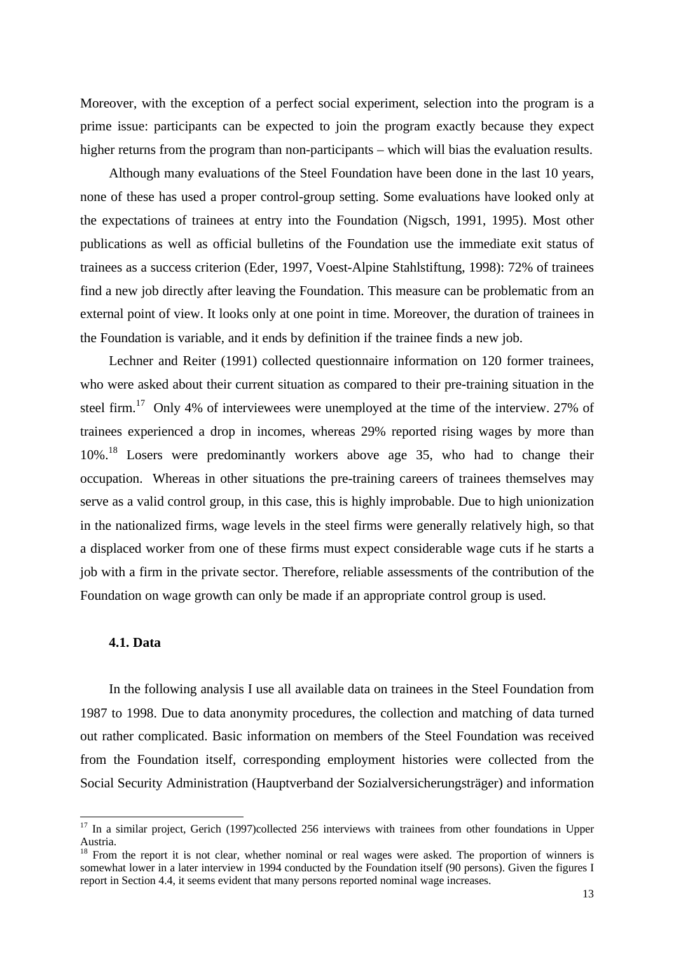Moreover, with the exception of a perfect social experiment, selection into the program is a prime issue: participants can be expected to join the program exactly because they expect higher returns from the program than non-participants – which will bias the evaluation results.

Although many evaluations of the Steel Foundation have been done in the last 10 years, none of these has used a proper control-group setting. Some evaluations have looked only at the expectations of trainees at entry into the Foundation (Nigsch, 1991, 1995). Most other publications as well as official bulletins of the Foundation use the immediate exit status of trainees as a success criterion (Eder, 1997, Voest-Alpine Stahlstiftung, 1998): 72% of trainees find a new job directly after leaving the Foundation. This measure can be problematic from an external point of view. It looks only at one point in time. Moreover, the duration of trainees in the Foundation is variable, and it ends by definition if the trainee finds a new job.

Lechner and Reiter (1991) collected questionnaire information on 120 former trainees, who were asked about their current situation as compared to their pre-training situation in the steel firm.<sup>17</sup> Only 4% of interviewees were unemployed at the time of the interview. 27% of trainees experienced a drop in incomes, whereas 29% reported rising wages by more than 10%<sup>18</sup> Losers were predominantly workers above age 35, who had to change their occupation. Whereas in other situations the pre-training careers of trainees themselves may serve as a valid control group, in this case, this is highly improbable. Due to high unionization in the nationalized firms, wage levels in the steel firms were generally relatively high, so that a displaced worker from one of these firms must expect considerable wage cuts if he starts a job with a firm in the private sector. Therefore, reliable assessments of the contribution of the Foundation on wage growth can only be made if an appropriate control group is used.

### **4.1. Data**

-

In the following analysis I use all available data on trainees in the Steel Foundation from 1987 to 1998. Due to data anonymity procedures, the collection and matching of data turned out rather complicated. Basic information on members of the Steel Foundation was received from the Foundation itself, corresponding employment histories were collected from the Social Security Administration (Hauptverband der Sozialversicherungsträger) and information

<sup>&</sup>lt;sup>17</sup> In a similar project, Gerich (1997)collected 256 interviews with trainees from other foundations in Upper Austria.

 $18$  From the report it is not clear, whether nominal or real wages were asked. The proportion of winners is somewhat lower in a later interview in 1994 conducted by the Foundation itself (90 persons). Given the figures I report in Section 4.4, it seems evident that many persons reported nominal wage increases.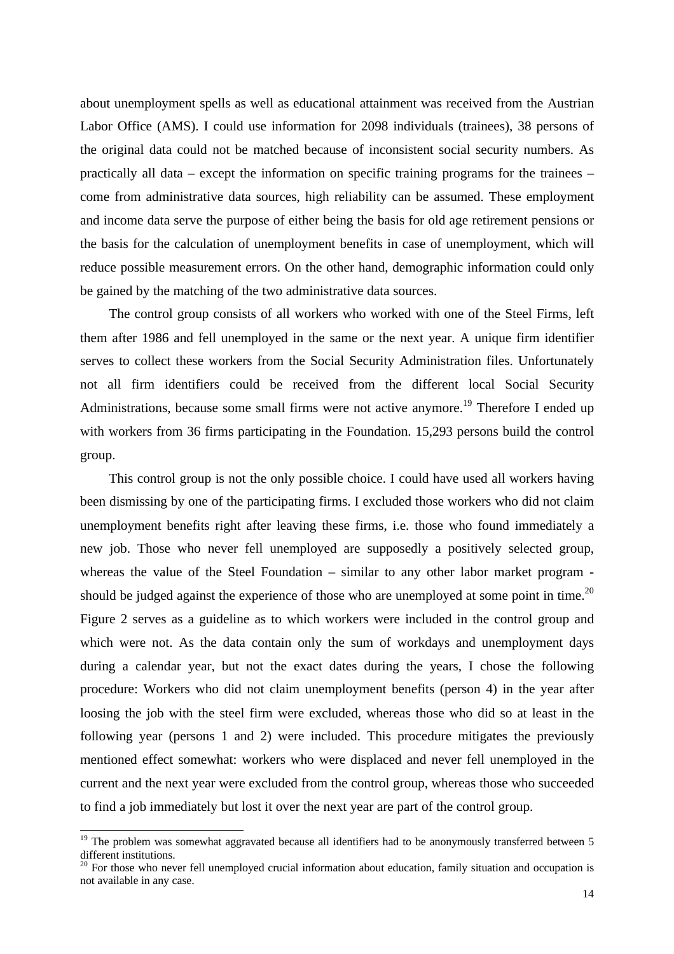about unemployment spells as well as educational attainment was received from the Austrian Labor Office (AMS). I could use information for 2098 individuals (trainees), 38 persons of the original data could not be matched because of inconsistent social security numbers. As practically all data – except the information on specific training programs for the trainees – come from administrative data sources, high reliability can be assumed. These employment and income data serve the purpose of either being the basis for old age retirement pensions or the basis for the calculation of unemployment benefits in case of unemployment, which will reduce possible measurement errors. On the other hand, demographic information could only be gained by the matching of the two administrative data sources.

The control group consists of all workers who worked with one of the Steel Firms, left them after 1986 and fell unemployed in the same or the next year. A unique firm identifier serves to collect these workers from the Social Security Administration files. Unfortunately not all firm identifiers could be received from the different local Social Security Administrations, because some small firms were not active anymore.<sup>19</sup> Therefore I ended up with workers from 36 firms participating in the Foundation. 15,293 persons build the control group.

This control group is not the only possible choice. I could have used all workers having been dismissing by one of the participating firms. I excluded those workers who did not claim unemployment benefits right after leaving these firms, i.e. those who found immediately a new job. Those who never fell unemployed are supposedly a positively selected group, whereas the value of the Steel Foundation – similar to any other labor market program should be judged against the experience of those who are unemployed at some point in time.<sup>20</sup> Figure 2 serves as a guideline as to which workers were included in the control group and which were not. As the data contain only the sum of workdays and unemployment days during a calendar year, but not the exact dates during the years, I chose the following procedure: Workers who did not claim unemployment benefits (person 4) in the year after loosing the job with the steel firm were excluded, whereas those who did so at least in the following year (persons 1 and 2) were included. This procedure mitigates the previously mentioned effect somewhat: workers who were displaced and never fell unemployed in the current and the next year were excluded from the control group, whereas those who succeeded to find a job immediately but lost it over the next year are part of the control group.

 $19$  The problem was somewhat aggravated because all identifiers had to be anonymously transferred between 5 different institutions.

<sup>&</sup>lt;sup>20</sup> For those who never fell unemployed crucial information about education, family situation and occupation is not available in any case.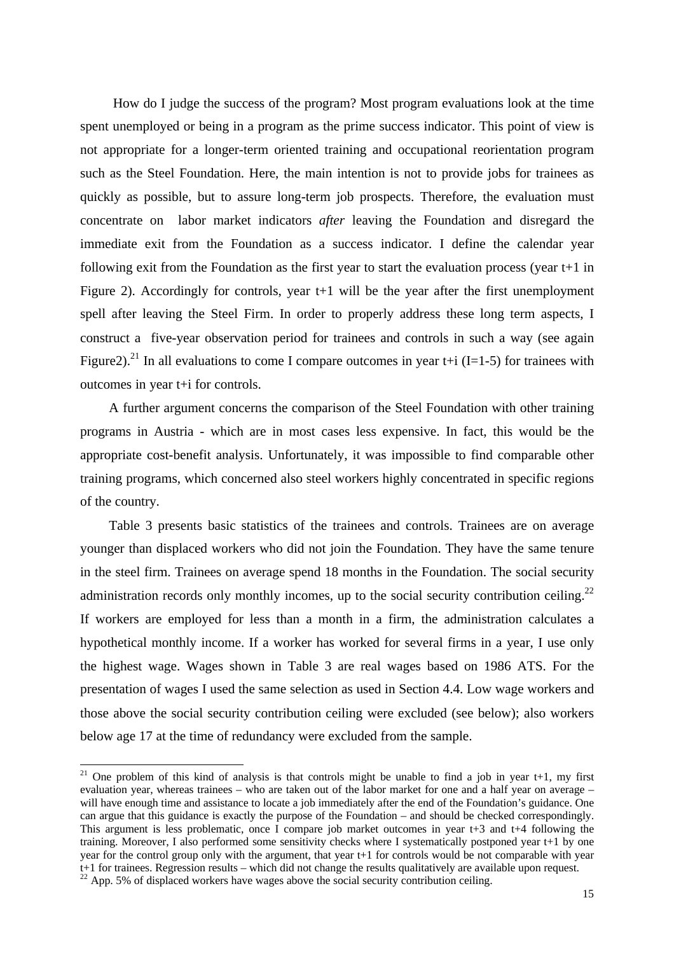How do I judge the success of the program? Most program evaluations look at the time spent unemployed or being in a program as the prime success indicator. This point of view is not appropriate for a longer-term oriented training and occupational reorientation program such as the Steel Foundation. Here, the main intention is not to provide jobs for trainees as quickly as possible, but to assure long-term job prospects. Therefore, the evaluation must concentrate on labor market indicators *after* leaving the Foundation and disregard the immediate exit from the Foundation as a success indicator. I define the calendar year following exit from the Foundation as the first year to start the evaluation process (year t+1 in Figure 2). Accordingly for controls, year t+1 will be the year after the first unemployment spell after leaving the Steel Firm. In order to properly address these long term aspects, I construct a five-year observation period for trainees and controls in such a way (see again Figure 2).<sup>21</sup> In all evaluations to come I compare outcomes in year t+i (I=1-5) for trainees with outcomes in year t+i for controls.

A further argument concerns the comparison of the Steel Foundation with other training programs in Austria - which are in most cases less expensive. In fact, this would be the appropriate cost-benefit analysis. Unfortunately, it was impossible to find comparable other training programs, which concerned also steel workers highly concentrated in specific regions of the country.

Table 3 presents basic statistics of the trainees and controls. Trainees are on average younger than displaced workers who did not join the Foundation. They have the same tenure in the steel firm. Trainees on average spend 18 months in the Foundation. The social security administration records only monthly incomes, up to the social security contribution ceiling.<sup>22</sup> If workers are employed for less than a month in a firm, the administration calculates a hypothetical monthly income. If a worker has worked for several firms in a year, I use only the highest wage. Wages shown in Table 3 are real wages based on 1986 ATS. For the presentation of wages I used the same selection as used in Section 4.4. Low wage workers and those above the social security contribution ceiling were excluded (see below); also workers below age 17 at the time of redundancy were excluded from the sample.

<sup>&</sup>lt;sup>21</sup> One problem of this kind of analysis is that controls might be unable to find a job in year t+1, my first evaluation year, whereas trainees – who are taken out of the labor market for one and a half year on average – will have enough time and assistance to locate a job immediately after the end of the Foundation's guidance. One can argue that this guidance is exactly the purpose of the Foundation – and should be checked correspondingly. This argument is less problematic, once I compare job market outcomes in year t+3 and t+4 following the training. Moreover, I also performed some sensitivity checks where I systematically postponed year t+1 by one year for the control group only with the argument, that year  $t+1$  for controls would be not comparable with year t+1 for trainees. Regression results – which did not change the results qualitatively are available upon request.

<sup>&</sup>lt;sup>22</sup> App. 5% of displaced workers have wages above the social security contribution ceiling.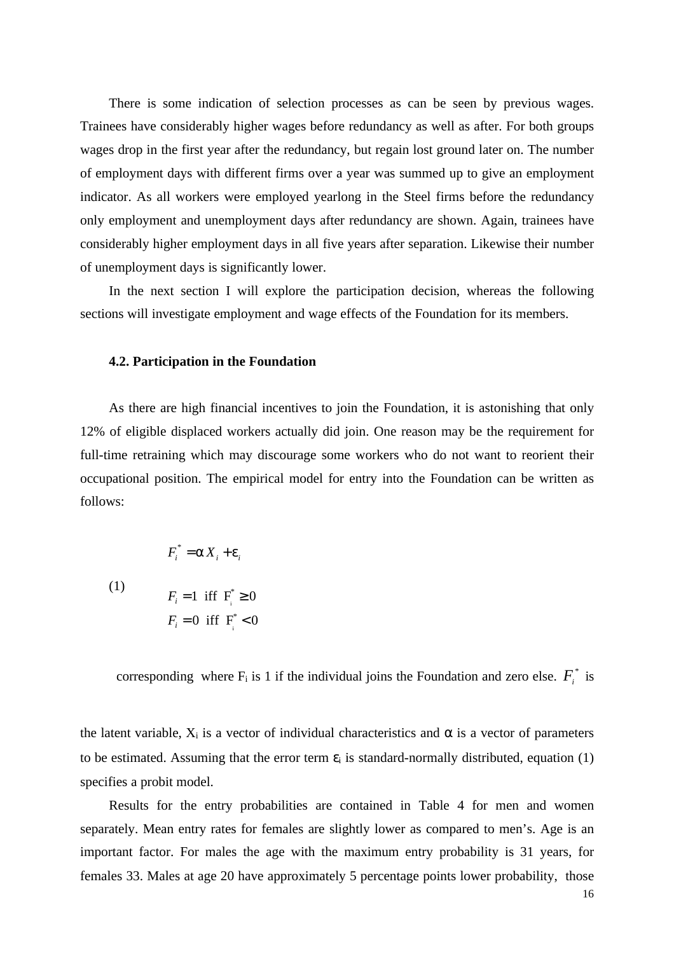There is some indication of selection processes as can be seen by previous wages. Trainees have considerably higher wages before redundancy as well as after. For both groups wages drop in the first year after the redundancy, but regain lost ground later on. The number of employment days with different firms over a year was summed up to give an employment indicator. As all workers were employed yearlong in the Steel firms before the redundancy only employment and unemployment days after redundancy are shown. Again, trainees have considerably higher employment days in all five years after separation. Likewise their number of unemployment days is significantly lower.

In the next section I will explore the participation decision, whereas the following sections will investigate employment and wage effects of the Foundation for its members.

### **4.2. Participation in the Foundation**

As there are high financial incentives to join the Foundation, it is astonishing that only 12% of eligible displaced workers actually did join. One reason may be the requirement for full-time retraining which may discourage some workers who do not want to reorient their occupational position. The empirical model for entry into the Foundation can be written as follows:

$$
F_i^* = a X_i + e_i
$$
  
(1)  

$$
F_i = 1 \text{ iff } F_i^* \ge 0
$$
  

$$
F_i = 0 \text{ iff } F_i^* < 0
$$

corresponding where  $F_i$  is 1 if the individual joins the Foundation and zero else.  $F_i^*$  is

the latent variable,  $X_i$  is a vector of individual characteristics and  $\alpha$  is a vector of parameters to be estimated. Assuming that the error term  $\varepsilon_i$  is standard-normally distributed, equation (1) specifies a probit model.

Results for the entry probabilities are contained in Table 4 for men and women separately. Mean entry rates for females are slightly lower as compared to men's. Age is an important factor. For males the age with the maximum entry probability is 31 years, for females 33. Males at age 20 have approximately 5 percentage points lower probability, those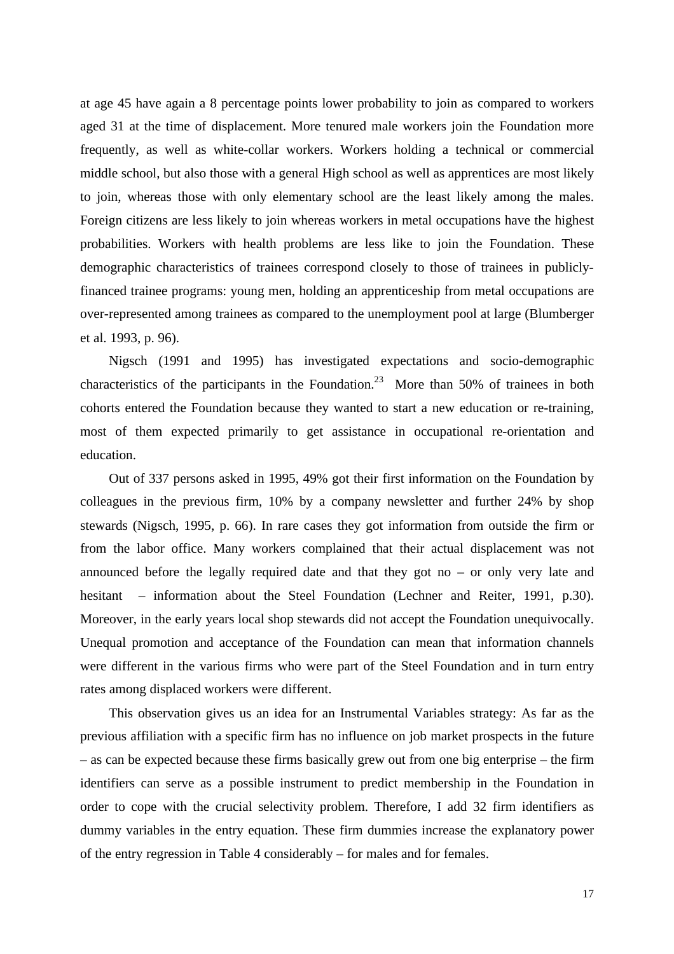at age 45 have again a 8 percentage points lower probability to join as compared to workers aged 31 at the time of displacement. More tenured male workers join the Foundation more frequently, as well as white-collar workers. Workers holding a technical or commercial middle school, but also those with a general High school as well as apprentices are most likely to join, whereas those with only elementary school are the least likely among the males. Foreign citizens are less likely to join whereas workers in metal occupations have the highest probabilities. Workers with health problems are less like to join the Foundation. These demographic characteristics of trainees correspond closely to those of trainees in publiclyfinanced trainee programs: young men, holding an apprenticeship from metal occupations are over-represented among trainees as compared to the unemployment pool at large (Blumberger et al. 1993, p. 96).

Nigsch (1991 and 1995) has investigated expectations and socio-demographic characteristics of the participants in the Foundation.<sup>23</sup> More than 50% of trainees in both cohorts entered the Foundation because they wanted to start a new education or re-training, most of them expected primarily to get assistance in occupational re-orientation and education.

Out of 337 persons asked in 1995, 49% got their first information on the Foundation by colleagues in the previous firm, 10% by a company newsletter and further 24% by shop stewards (Nigsch, 1995, p. 66). In rare cases they got information from outside the firm or from the labor office. Many workers complained that their actual displacement was not announced before the legally required date and that they got no – or only very late and hesitant – information about the Steel Foundation (Lechner and Reiter, 1991, p.30). Moreover, in the early years local shop stewards did not accept the Foundation unequivocally. Unequal promotion and acceptance of the Foundation can mean that information channels were different in the various firms who were part of the Steel Foundation and in turn entry rates among displaced workers were different.

This observation gives us an idea for an Instrumental Variables strategy: As far as the previous affiliation with a specific firm has no influence on job market prospects in the future – as can be expected because these firms basically grew out from one big enterprise – the firm identifiers can serve as a possible instrument to predict membership in the Foundation in order to cope with the crucial selectivity problem. Therefore, I add 32 firm identifiers as dummy variables in the entry equation. These firm dummies increase the explanatory power of the entry regression in Table 4 considerably – for males and for females.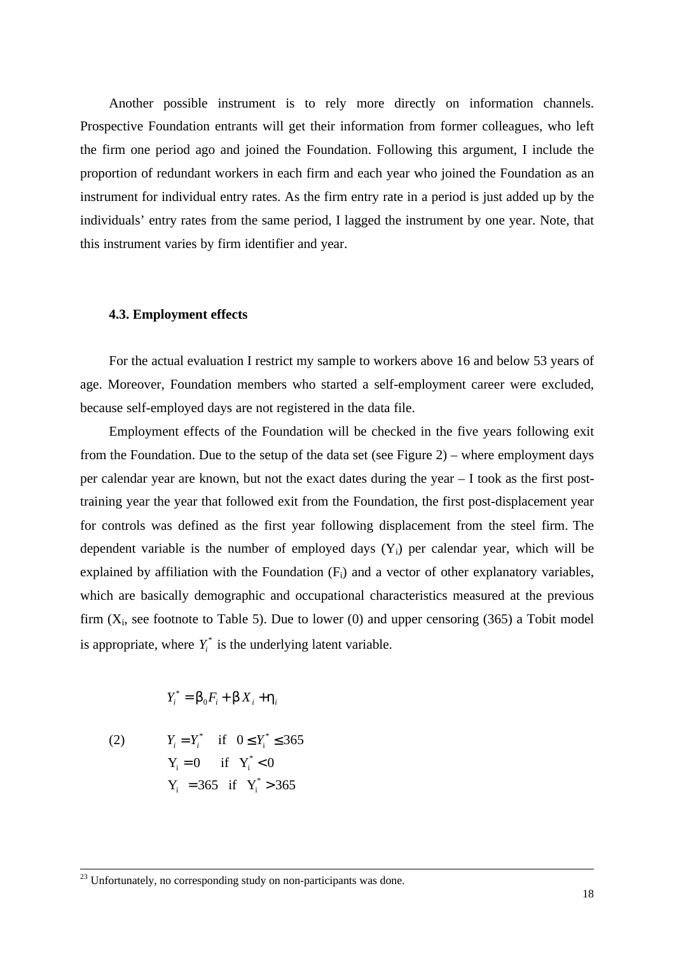Another possible instrument is to rely more directly on information channels. Prospective Foundation entrants will get their information from former colleagues, who left the firm one period ago and joined the Foundation. Following this argument, I include the proportion of redundant workers in each firm and each year who joined the Foundation as an instrument for individual entry rates. As the firm entry rate in a period is just added up by the individuals' entry rates from the same period, I lagged the instrument by one year. Note, that this instrument varies by firm identifier and year.

#### **4.3. Employment effects**

For the actual evaluation I restrict my sample to workers above 16 and below 53 years of age. Moreover, Foundation members who started a self-employment career were excluded, because self-employed days are not registered in the data file.

Employment effects of the Foundation will be checked in the five years following exit from the Foundation. Due to the setup of the data set (see Figure 2) – where employment days per calendar year are known, but not the exact dates during the year – I took as the first posttraining year the year that followed exit from the Foundation, the first post-displacement year for controls was defined as the first year following displacement from the steel firm. The dependent variable is the number of employed days  $(Y_i)$  per calendar year, which will be explained by affiliation with the Foundation  $(F_i)$  and a vector of other explanatory variables, which are basically demographic and occupational characteristics measured at the previous firm  $(X_i)$ , see footnote to Table 5). Due to lower (0) and upper censoring (365) a Tobit model is appropriate, where  $Y_i^*$  is the underlying latent variable.

$$
Y_i^* = \mathsf{b}_0 F_i + \mathsf{b} X_i + \mathsf{h}_i
$$

(2) 
$$
Y_i = Y_i^*
$$
 if  $0 \le Y_i^* \le 365$   
\n $Y_i = 0$  if  $Y_i^* < 0$   
\n $Y_i = 365$  if  $Y_i^* > 365$ 

<sup>&</sup>lt;sup>23</sup> Unfortunately, no corresponding study on non-participants was done.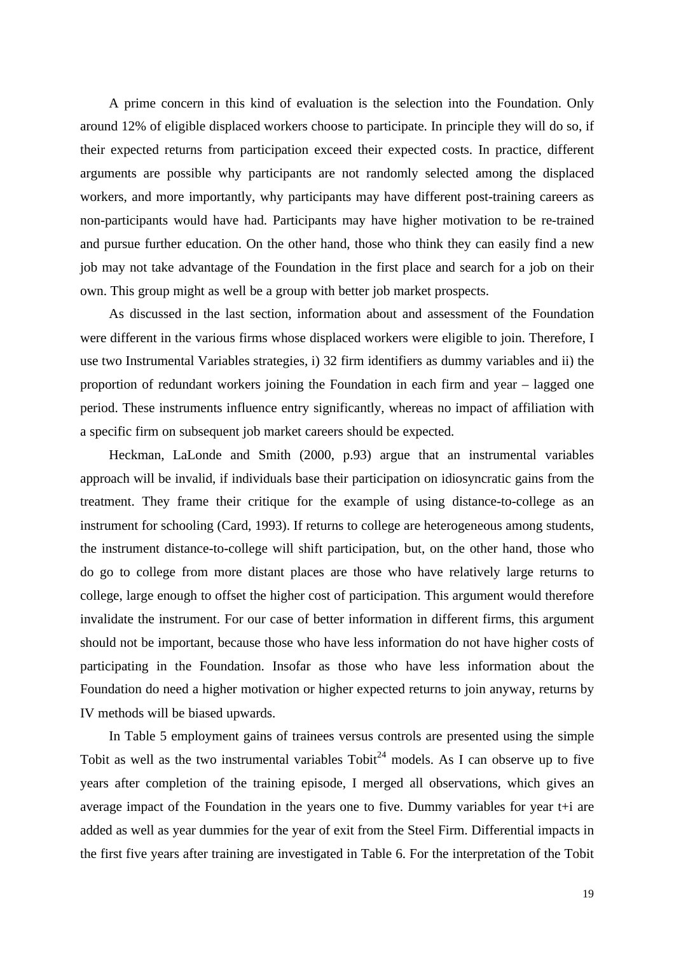A prime concern in this kind of evaluation is the selection into the Foundation. Only around 12% of eligible displaced workers choose to participate. In principle they will do so, if their expected returns from participation exceed their expected costs. In practice, different arguments are possible why participants are not randomly selected among the displaced workers, and more importantly, why participants may have different post-training careers as non-participants would have had. Participants may have higher motivation to be re-trained and pursue further education. On the other hand, those who think they can easily find a new job may not take advantage of the Foundation in the first place and search for a job on their own. This group might as well be a group with better job market prospects.

As discussed in the last section, information about and assessment of the Foundation were different in the various firms whose displaced workers were eligible to join. Therefore, I use two Instrumental Variables strategies, i) 32 firm identifiers as dummy variables and ii) the proportion of redundant workers joining the Foundation in each firm and year – lagged one period. These instruments influence entry significantly, whereas no impact of affiliation with a specific firm on subsequent job market careers should be expected.

Heckman, LaLonde and Smith (2000, p.93) argue that an instrumental variables approach will be invalid, if individuals base their participation on idiosyncratic gains from the treatment. They frame their critique for the example of using distance-to-college as an instrument for schooling (Card, 1993). If returns to college are heterogeneous among students, the instrument distance-to-college will shift participation, but, on the other hand, those who do go to college from more distant places are those who have relatively large returns to college, large enough to offset the higher cost of participation. This argument would therefore invalidate the instrument. For our case of better information in different firms, this argument should not be important, because those who have less information do not have higher costs of participating in the Foundation. Insofar as those who have less information about the Foundation do need a higher motivation or higher expected returns to join anyway, returns by IV methods will be biased upwards.

In Table 5 employment gains of trainees versus controls are presented using the simple Tobit as well as the two instrumental variables  $T \circ b i t^{24}$  models. As I can observe up to five years after completion of the training episode, I merged all observations, which gives an average impact of the Foundation in the years one to five. Dummy variables for year t+i are added as well as year dummies for the year of exit from the Steel Firm. Differential impacts in the first five years after training are investigated in Table 6. For the interpretation of the Tobit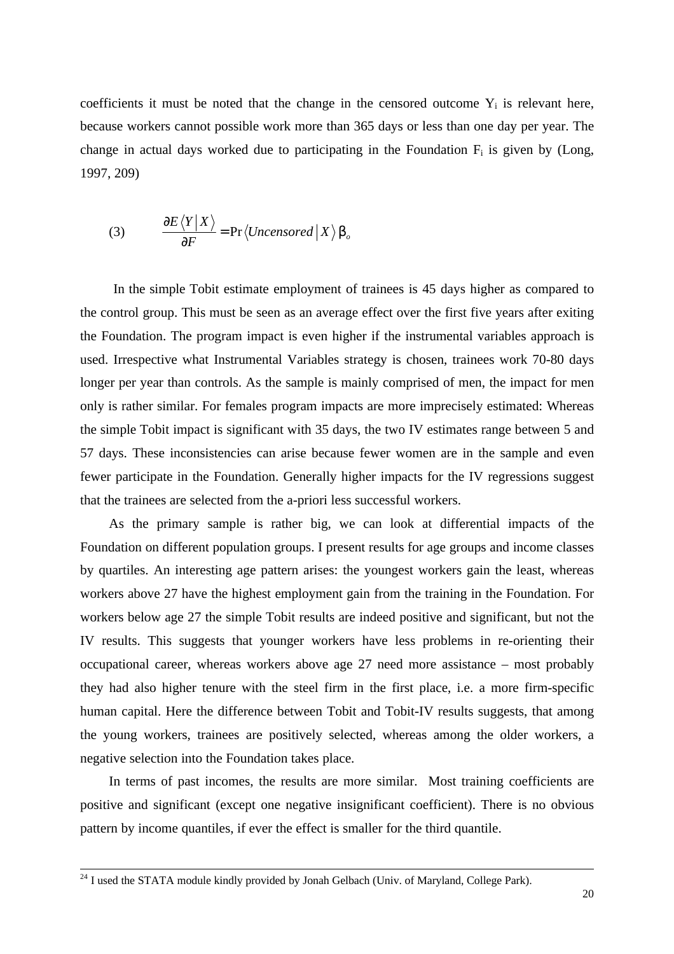coefficients it must be noted that the change in the censored outcome  $Y_i$  is relevant here, because workers cannot possible work more than 365 days or less than one day per year. The change in actual days worked due to participating in the Foundation  $F_i$  is given by (Long, 1997, 209)

(3) 
$$
\frac{\partial E \langle Y | X \rangle}{\partial F} = \Pr \langle \text{Uncensored} | X \rangle \mathsf{b}_{o}
$$

 In the simple Tobit estimate employment of trainees is 45 days higher as compared to the control group. This must be seen as an average effect over the first five years after exiting the Foundation. The program impact is even higher if the instrumental variables approach is used. Irrespective what Instrumental Variables strategy is chosen, trainees work 70-80 days longer per year than controls. As the sample is mainly comprised of men, the impact for men only is rather similar. For females program impacts are more imprecisely estimated: Whereas the simple Tobit impact is significant with 35 days, the two IV estimates range between 5 and 57 days. These inconsistencies can arise because fewer women are in the sample and even fewer participate in the Foundation. Generally higher impacts for the IV regressions suggest that the trainees are selected from the a-priori less successful workers.

As the primary sample is rather big, we can look at differential impacts of the Foundation on different population groups. I present results for age groups and income classes by quartiles. An interesting age pattern arises: the youngest workers gain the least, whereas workers above 27 have the highest employment gain from the training in the Foundation. For workers below age 27 the simple Tobit results are indeed positive and significant, but not the IV results. This suggests that younger workers have less problems in re-orienting their occupational career, whereas workers above age 27 need more assistance – most probably they had also higher tenure with the steel firm in the first place, i.e. a more firm-specific human capital. Here the difference between Tobit and Tobit-IV results suggests, that among the young workers, trainees are positively selected, whereas among the older workers, a negative selection into the Foundation takes place.

In terms of past incomes, the results are more similar. Most training coefficients are positive and significant (except one negative insignificant coefficient). There is no obvious pattern by income quantiles, if ever the effect is smaller for the third quantile.

 $2<sup>24</sup>$  I used the STATA module kindly provided by Jonah Gelbach (Univ. of Maryland, College Park).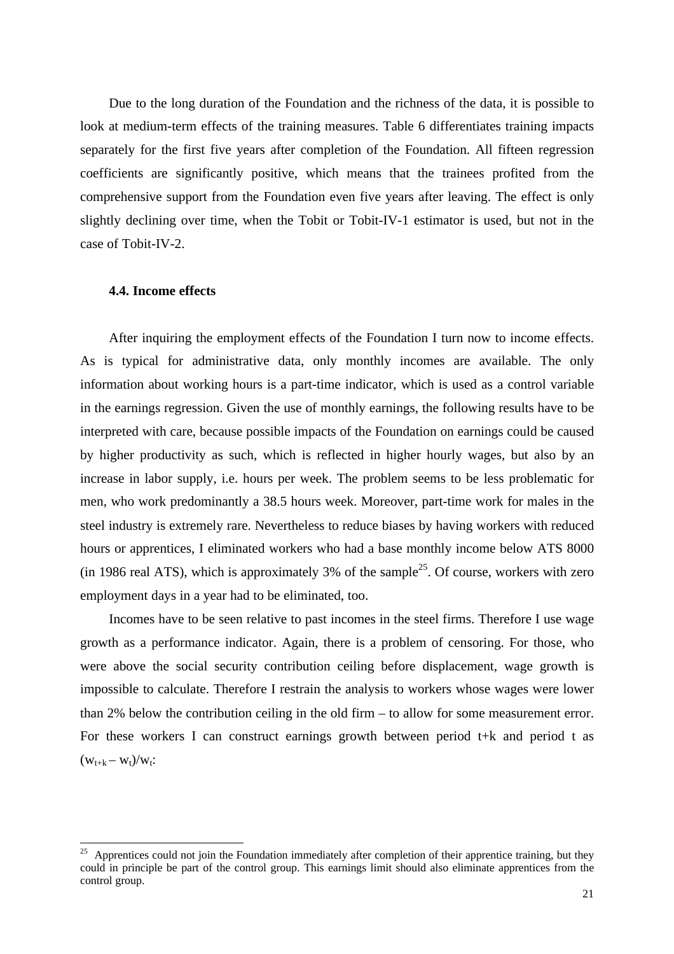Due to the long duration of the Foundation and the richness of the data, it is possible to look at medium-term effects of the training measures. Table 6 differentiates training impacts separately for the first five years after completion of the Foundation. All fifteen regression coefficients are significantly positive, which means that the trainees profited from the comprehensive support from the Foundation even five years after leaving. The effect is only slightly declining over time, when the Tobit or Tobit-IV-1 estimator is used, but not in the case of Tobit-IV-2.

## **4.4. Income effects**

-

After inquiring the employment effects of the Foundation I turn now to income effects. As is typical for administrative data, only monthly incomes are available. The only information about working hours is a part-time indicator, which is used as a control variable in the earnings regression. Given the use of monthly earnings, the following results have to be interpreted with care, because possible impacts of the Foundation on earnings could be caused by higher productivity as such, which is reflected in higher hourly wages, but also by an increase in labor supply, i.e. hours per week. The problem seems to be less problematic for men, who work predominantly a 38.5 hours week. Moreover, part-time work for males in the steel industry is extremely rare. Nevertheless to reduce biases by having workers with reduced hours or apprentices, I eliminated workers who had a base monthly income below ATS 8000 (in 1986 real ATS), which is approximately 3% of the sample<sup>25</sup>. Of course, workers with zero employment days in a year had to be eliminated, too.

Incomes have to be seen relative to past incomes in the steel firms. Therefore I use wage growth as a performance indicator. Again, there is a problem of censoring. For those, who were above the social security contribution ceiling before displacement, wage growth is impossible to calculate. Therefore I restrain the analysis to workers whose wages were lower than 2% below the contribution ceiling in the old firm – to allow for some measurement error. For these workers I can construct earnings growth between period  $t+k$  and period  $t$  as  $(w_{t+k} - w_t)/w_t$ :

 $25$  Apprentices could not join the Foundation immediately after completion of their apprentice training, but they could in principle be part of the control group. This earnings limit should also eliminate apprentices from the control group.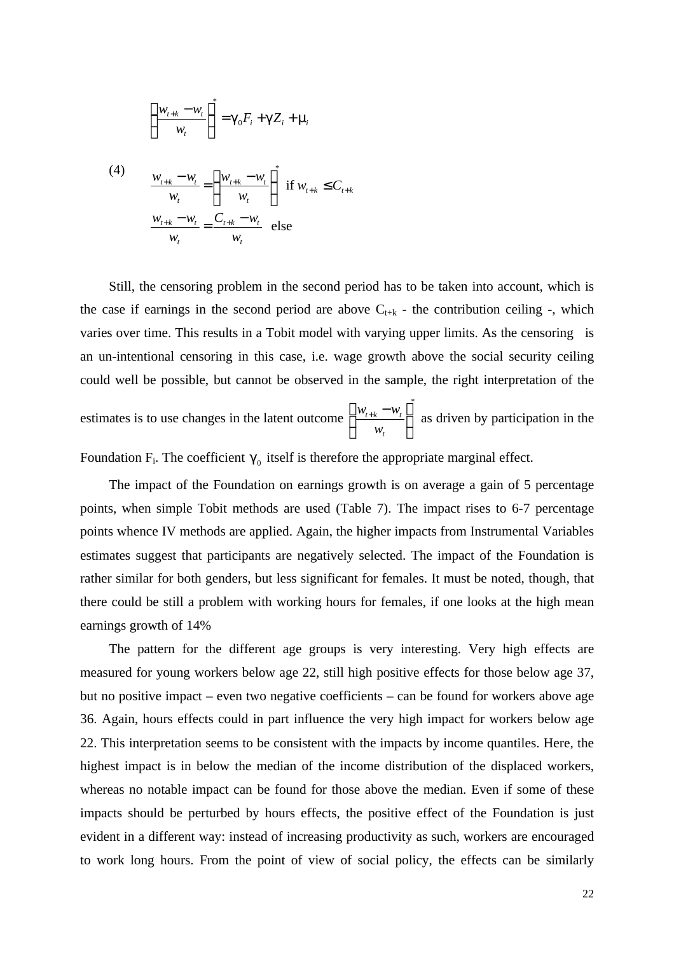$$
\left(\frac{w_{t+k}-w_t}{w_t}\right)^* = g_0 F_i + \mathcal{G}Z_i + \mathcal{D}
$$

(4) 
$$
\frac{w_{t+k} - w_t}{w_t} = \left(\frac{w_{t+k} - w_t}{w_t}\right)^* \text{ if } w_{t+k} \leq C_{t+k}
$$

$$
\frac{w_{t+k} - w_t}{w_t} = \frac{C_{t+k} - w_t}{w_t} \text{ else}
$$

Still, the censoring problem in the second period has to be taken into account, which is the case if earnings in the second period are above  $C_{t+k}$  - the contribution ceiling -, which varies over time. This results in a Tobit model with varying upper limits. As the censoring is an un-intentional censoring in this case, i.e. wage growth above the social security ceiling could well be possible, but cannot be observed in the sample, the right interpretation of the

estimates is to use changes in the latent outcome \*  $t+k$   $\boldsymbol{v}_t$ *t*  $W_{t+k} - W$ *w*  $\left(w_{t+k} - w_t\right)$  $\begin{array}{c|c}\n\hline\n & t + k & t \\
\hline\n & \ddots & \n\end{array}$  $\left(\begin{array}{cc} & W_t & \end{array}\right)$ as driven by participation in the

Foundation  $F_i$ . The coefficient  $g_0$  itself is therefore the appropriate marginal effect.

The impact of the Foundation on earnings growth is on average a gain of 5 percentage points, when simple Tobit methods are used (Table 7). The impact rises to 6-7 percentage points whence IV methods are applied. Again, the higher impacts from Instrumental Variables estimates suggest that participants are negatively selected. The impact of the Foundation is rather similar for both genders, but less significant for females. It must be noted, though, that there could be still a problem with working hours for females, if one looks at the high mean earnings growth of 14%

The pattern for the different age groups is very interesting. Very high effects are measured for young workers below age 22, still high positive effects for those below age 37, but no positive impact – even two negative coefficients – can be found for workers above age 36. Again, hours effects could in part influence the very high impact for workers below age 22. This interpretation seems to be consistent with the impacts by income quantiles. Here, the highest impact is in below the median of the income distribution of the displaced workers, whereas no notable impact can be found for those above the median. Even if some of these impacts should be perturbed by hours effects, the positive effect of the Foundation is just evident in a different way: instead of increasing productivity as such, workers are encouraged to work long hours. From the point of view of social policy, the effects can be similarly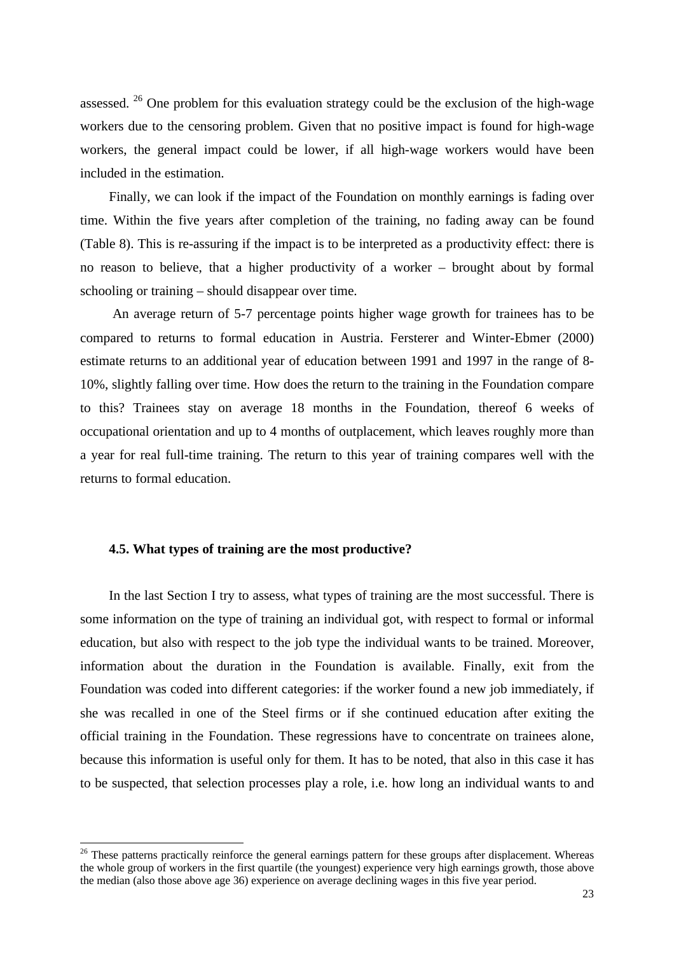assessed.<sup>26</sup> One problem for this evaluation strategy could be the exclusion of the high-wage workers due to the censoring problem. Given that no positive impact is found for high-wage workers, the general impact could be lower, if all high-wage workers would have been included in the estimation.

Finally, we can look if the impact of the Foundation on monthly earnings is fading over time. Within the five years after completion of the training, no fading away can be found (Table 8). This is re-assuring if the impact is to be interpreted as a productivity effect: there is no reason to believe, that a higher productivity of a worker – brought about by formal schooling or training – should disappear over time.

 An average return of 5-7 percentage points higher wage growth for trainees has to be compared to returns to formal education in Austria. Fersterer and Winter-Ebmer (2000) estimate returns to an additional year of education between 1991 and 1997 in the range of 8- 10%, slightly falling over time. How does the return to the training in the Foundation compare to this? Trainees stay on average 18 months in the Foundation, thereof 6 weeks of occupational orientation and up to 4 months of outplacement, which leaves roughly more than a year for real full-time training. The return to this year of training compares well with the returns to formal education.

## **4.5. What types of training are the most productive?**

-

In the last Section I try to assess, what types of training are the most successful. There is some information on the type of training an individual got, with respect to formal or informal education, but also with respect to the job type the individual wants to be trained. Moreover, information about the duration in the Foundation is available. Finally, exit from the Foundation was coded into different categories: if the worker found a new job immediately, if she was recalled in one of the Steel firms or if she continued education after exiting the official training in the Foundation. These regressions have to concentrate on trainees alone, because this information is useful only for them. It has to be noted, that also in this case it has to be suspected, that selection processes play a role, i.e. how long an individual wants to and

<sup>&</sup>lt;sup>26</sup> These patterns practically reinforce the general earnings pattern for these groups after displacement. Whereas the whole group of workers in the first quartile (the youngest) experience very high earnings growth, those above the median (also those above age 36) experience on average declining wages in this five year period.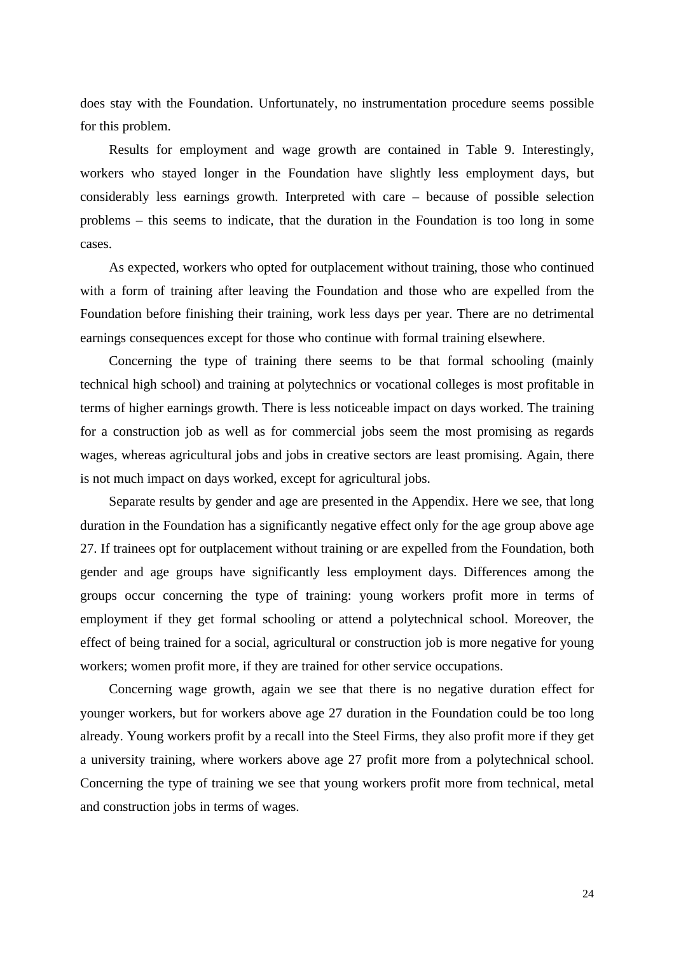does stay with the Foundation. Unfortunately, no instrumentation procedure seems possible for this problem.

Results for employment and wage growth are contained in Table 9. Interestingly, workers who stayed longer in the Foundation have slightly less employment days, but considerably less earnings growth. Interpreted with care – because of possible selection problems – this seems to indicate, that the duration in the Foundation is too long in some cases.

As expected, workers who opted for outplacement without training, those who continued with a form of training after leaving the Foundation and those who are expelled from the Foundation before finishing their training, work less days per year. There are no detrimental earnings consequences except for those who continue with formal training elsewhere.

Concerning the type of training there seems to be that formal schooling (mainly technical high school) and training at polytechnics or vocational colleges is most profitable in terms of higher earnings growth. There is less noticeable impact on days worked. The training for a construction job as well as for commercial jobs seem the most promising as regards wages, whereas agricultural jobs and jobs in creative sectors are least promising. Again, there is not much impact on days worked, except for agricultural jobs.

Separate results by gender and age are presented in the Appendix. Here we see, that long duration in the Foundation has a significantly negative effect only for the age group above age 27. If trainees opt for outplacement without training or are expelled from the Foundation, both gender and age groups have significantly less employment days. Differences among the groups occur concerning the type of training: young workers profit more in terms of employment if they get formal schooling or attend a polytechnical school. Moreover, the effect of being trained for a social, agricultural or construction job is more negative for young workers; women profit more, if they are trained for other service occupations.

Concerning wage growth, again we see that there is no negative duration effect for younger workers, but for workers above age 27 duration in the Foundation could be too long already. Young workers profit by a recall into the Steel Firms, they also profit more if they get a university training, where workers above age 27 profit more from a polytechnical school. Concerning the type of training we see that young workers profit more from technical, metal and construction jobs in terms of wages.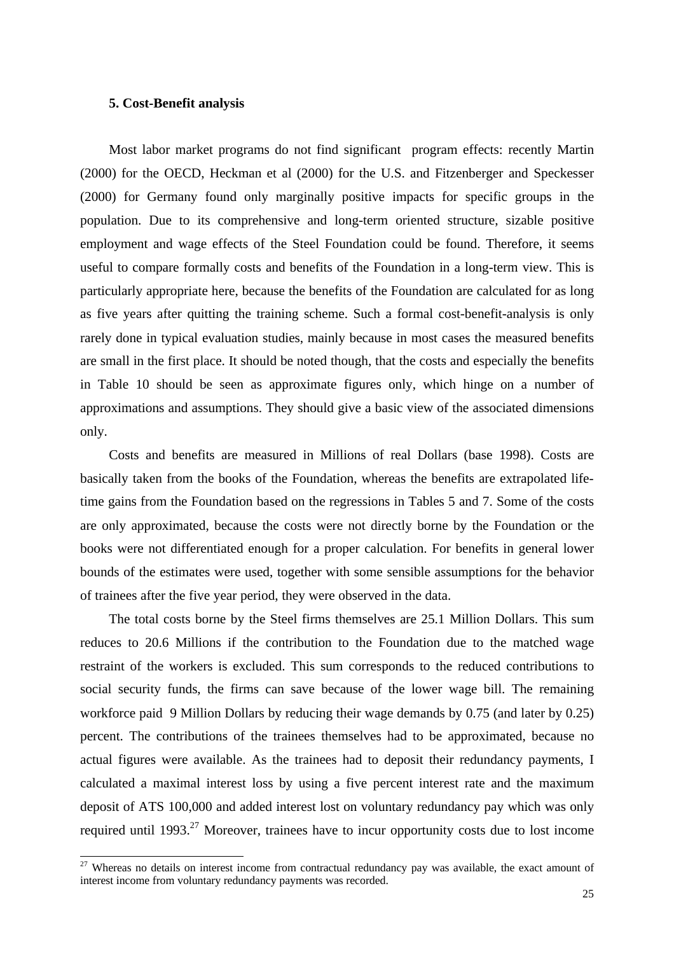#### **5. Cost-Benefit analysis**

l

Most labor market programs do not find significant program effects: recently Martin (2000) for the OECD, Heckman et al (2000) for the U.S. and Fitzenberger and Speckesser (2000) for Germany found only marginally positive impacts for specific groups in the population. Due to its comprehensive and long-term oriented structure, sizable positive employment and wage effects of the Steel Foundation could be found. Therefore, it seems useful to compare formally costs and benefits of the Foundation in a long-term view. This is particularly appropriate here, because the benefits of the Foundation are calculated for as long as five years after quitting the training scheme. Such a formal cost-benefit-analysis is only rarely done in typical evaluation studies, mainly because in most cases the measured benefits are small in the first place. It should be noted though, that the costs and especially the benefits in Table 10 should be seen as approximate figures only, which hinge on a number of approximations and assumptions. They should give a basic view of the associated dimensions only.

Costs and benefits are measured in Millions of real Dollars (base 1998). Costs are basically taken from the books of the Foundation, whereas the benefits are extrapolated lifetime gains from the Foundation based on the regressions in Tables 5 and 7. Some of the costs are only approximated, because the costs were not directly borne by the Foundation or the books were not differentiated enough for a proper calculation. For benefits in general lower bounds of the estimates were used, together with some sensible assumptions for the behavior of trainees after the five year period, they were observed in the data.

The total costs borne by the Steel firms themselves are 25.1 Million Dollars. This sum reduces to 20.6 Millions if the contribution to the Foundation due to the matched wage restraint of the workers is excluded. This sum corresponds to the reduced contributions to social security funds, the firms can save because of the lower wage bill. The remaining workforce paid 9 Million Dollars by reducing their wage demands by 0.75 (and later by 0.25) percent. The contributions of the trainees themselves had to be approximated, because no actual figures were available. As the trainees had to deposit their redundancy payments, I calculated a maximal interest loss by using a five percent interest rate and the maximum deposit of ATS 100,000 and added interest lost on voluntary redundancy pay which was only required until  $1993<sup>27</sup>$  Moreover, trainees have to incur opportunity costs due to lost income

<sup>&</sup>lt;sup>27</sup> Whereas no details on interest income from contractual redundancy pay was available, the exact amount of interest income from voluntary redundancy payments was recorded.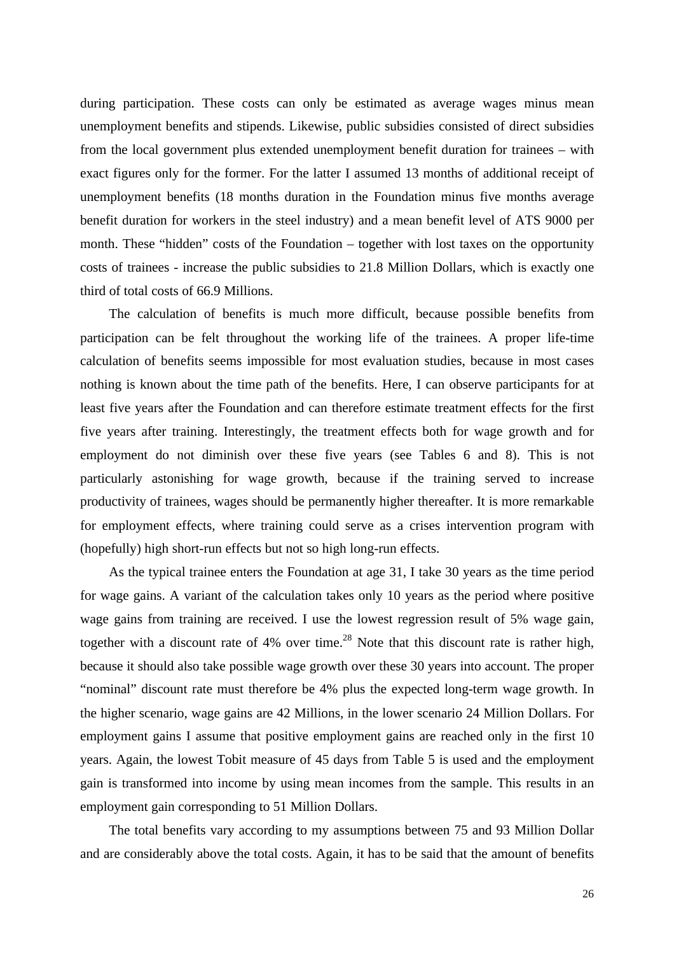during participation. These costs can only be estimated as average wages minus mean unemployment benefits and stipends. Likewise, public subsidies consisted of direct subsidies from the local government plus extended unemployment benefit duration for trainees – with exact figures only for the former. For the latter I assumed 13 months of additional receipt of unemployment benefits (18 months duration in the Foundation minus five months average benefit duration for workers in the steel industry) and a mean benefit level of ATS 9000 per month. These "hidden" costs of the Foundation – together with lost taxes on the opportunity costs of trainees - increase the public subsidies to 21.8 Million Dollars, which is exactly one third of total costs of 66.9 Millions.

The calculation of benefits is much more difficult, because possible benefits from participation can be felt throughout the working life of the trainees. A proper life-time calculation of benefits seems impossible for most evaluation studies, because in most cases nothing is known about the time path of the benefits. Here, I can observe participants for at least five years after the Foundation and can therefore estimate treatment effects for the first five years after training. Interestingly, the treatment effects both for wage growth and for employment do not diminish over these five years (see Tables 6 and 8). This is not particularly astonishing for wage growth, because if the training served to increase productivity of trainees, wages should be permanently higher thereafter. It is more remarkable for employment effects, where training could serve as a crises intervention program with (hopefully) high short-run effects but not so high long-run effects.

As the typical trainee enters the Foundation at age 31, I take 30 years as the time period for wage gains. A variant of the calculation takes only 10 years as the period where positive wage gains from training are received. I use the lowest regression result of 5% wage gain, together with a discount rate of  $4\%$  over time.<sup>28</sup> Note that this discount rate is rather high, because it should also take possible wage growth over these 30 years into account. The proper "nominal" discount rate must therefore be 4% plus the expected long-term wage growth. In the higher scenario, wage gains are 42 Millions, in the lower scenario 24 Million Dollars. For employment gains I assume that positive employment gains are reached only in the first 10 years. Again, the lowest Tobit measure of 45 days from Table 5 is used and the employment gain is transformed into income by using mean incomes from the sample. This results in an employment gain corresponding to 51 Million Dollars.

The total benefits vary according to my assumptions between 75 and 93 Million Dollar and are considerably above the total costs. Again, it has to be said that the amount of benefits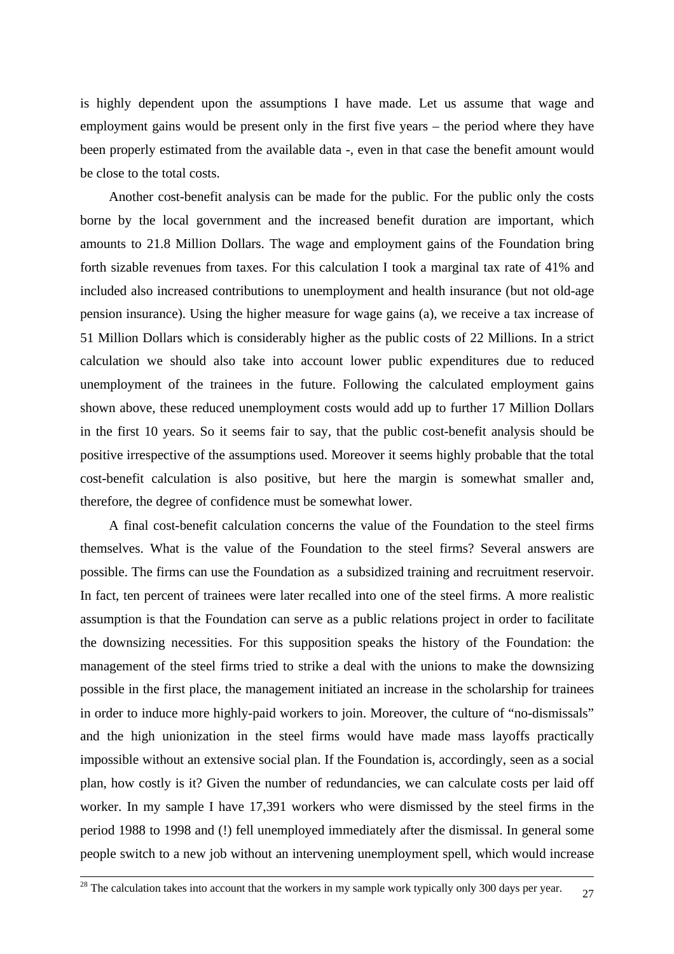is highly dependent upon the assumptions I have made. Let us assume that wage and employment gains would be present only in the first five years – the period where they have been properly estimated from the available data -, even in that case the benefit amount would be close to the total costs.

Another cost-benefit analysis can be made for the public. For the public only the costs borne by the local government and the increased benefit duration are important, which amounts to 21.8 Million Dollars. The wage and employment gains of the Foundation bring forth sizable revenues from taxes. For this calculation I took a marginal tax rate of 41% and included also increased contributions to unemployment and health insurance (but not old-age pension insurance). Using the higher measure for wage gains (a), we receive a tax increase of 51 Million Dollars which is considerably higher as the public costs of 22 Millions. In a strict calculation we should also take into account lower public expenditures due to reduced unemployment of the trainees in the future. Following the calculated employment gains shown above, these reduced unemployment costs would add up to further 17 Million Dollars in the first 10 years. So it seems fair to say, that the public cost-benefit analysis should be positive irrespective of the assumptions used. Moreover it seems highly probable that the total cost-benefit calculation is also positive, but here the margin is somewhat smaller and, therefore, the degree of confidence must be somewhat lower.

A final cost-benefit calculation concerns the value of the Foundation to the steel firms themselves. What is the value of the Foundation to the steel firms? Several answers are possible. The firms can use the Foundation as a subsidized training and recruitment reservoir. In fact, ten percent of trainees were later recalled into one of the steel firms. A more realistic assumption is that the Foundation can serve as a public relations project in order to facilitate the downsizing necessities. For this supposition speaks the history of the Foundation: the management of the steel firms tried to strike a deal with the unions to make the downsizing possible in the first place, the management initiated an increase in the scholarship for trainees in order to induce more highly-paid workers to join. Moreover, the culture of "no-dismissals" and the high unionization in the steel firms would have made mass layoffs practically impossible without an extensive social plan. If the Foundation is, accordingly, seen as a social plan, how costly is it? Given the number of redundancies, we can calculate costs per laid off worker. In my sample I have 17,391 workers who were dismissed by the steel firms in the period 1988 to 1998 and (!) fell unemployed immediately after the dismissal. In general some people switch to a new job without an intervening unemployment spell, which would increase

1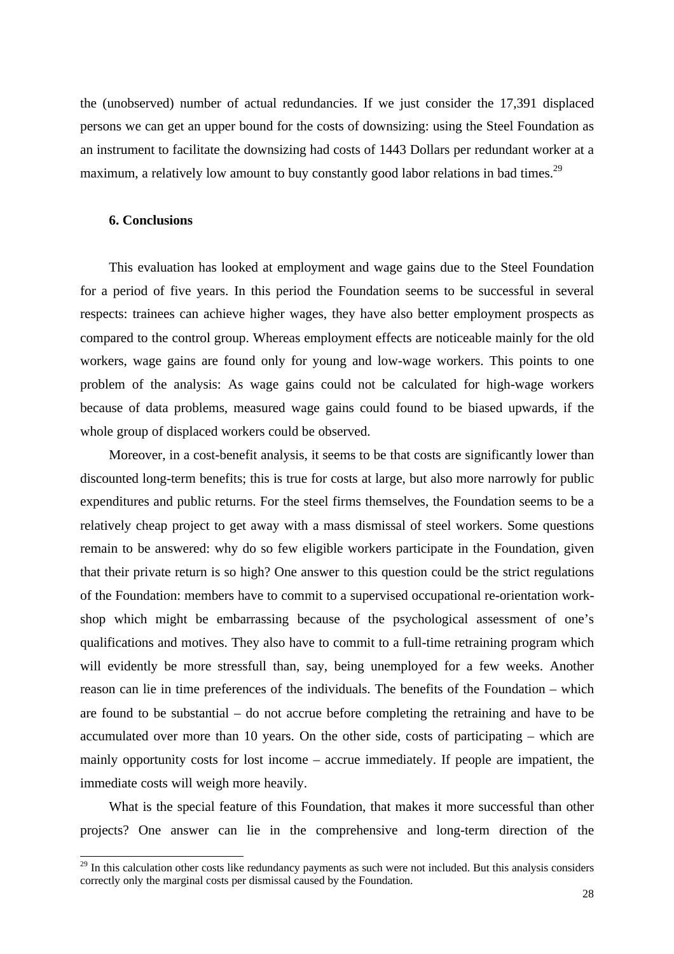the (unobserved) number of actual redundancies. If we just consider the 17,391 displaced persons we can get an upper bound for the costs of downsizing: using the Steel Foundation as an instrument to facilitate the downsizing had costs of 1443 Dollars per redundant worker at a maximum, a relatively low amount to buy constantly good labor relations in bad times.<sup>29</sup>

## **6. Conclusions**

l

This evaluation has looked at employment and wage gains due to the Steel Foundation for a period of five years. In this period the Foundation seems to be successful in several respects: trainees can achieve higher wages, they have also better employment prospects as compared to the control group. Whereas employment effects are noticeable mainly for the old workers, wage gains are found only for young and low-wage workers. This points to one problem of the analysis: As wage gains could not be calculated for high-wage workers because of data problems, measured wage gains could found to be biased upwards, if the whole group of displaced workers could be observed.

Moreover, in a cost-benefit analysis, it seems to be that costs are significantly lower than discounted long-term benefits; this is true for costs at large, but also more narrowly for public expenditures and public returns. For the steel firms themselves, the Foundation seems to be a relatively cheap project to get away with a mass dismissal of steel workers. Some questions remain to be answered: why do so few eligible workers participate in the Foundation, given that their private return is so high? One answer to this question could be the strict regulations of the Foundation: members have to commit to a supervised occupational re-orientation workshop which might be embarrassing because of the psychological assessment of one's qualifications and motives. They also have to commit to a full-time retraining program which will evidently be more stressfull than, say, being unemployed for a few weeks. Another reason can lie in time preferences of the individuals. The benefits of the Foundation – which are found to be substantial – do not accrue before completing the retraining and have to be accumulated over more than 10 years. On the other side, costs of participating – which are mainly opportunity costs for lost income – accrue immediately. If people are impatient, the immediate costs will weigh more heavily.

What is the special feature of this Foundation, that makes it more successful than other projects? One answer can lie in the comprehensive and long-term direction of the

 $29$  In this calculation other costs like redundancy payments as such were not included. But this analysis considers correctly only the marginal costs per dismissal caused by the Foundation.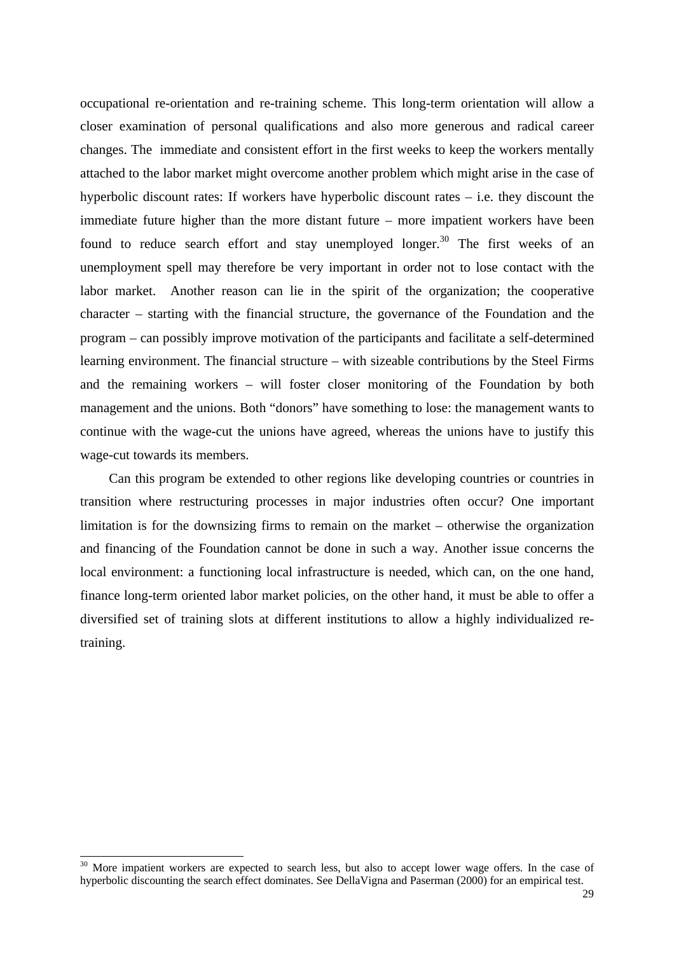occupational re-orientation and re-training scheme. This long-term orientation will allow a closer examination of personal qualifications and also more generous and radical career changes. The immediate and consistent effort in the first weeks to keep the workers mentally attached to the labor market might overcome another problem which might arise in the case of hyperbolic discount rates: If workers have hyperbolic discount rates – i.e. they discount the immediate future higher than the more distant future – more impatient workers have been found to reduce search effort and stay unemployed longer.<sup>30</sup> The first weeks of an unemployment spell may therefore be very important in order not to lose contact with the labor market. Another reason can lie in the spirit of the organization; the cooperative character – starting with the financial structure, the governance of the Foundation and the program – can possibly improve motivation of the participants and facilitate a self-determined learning environment. The financial structure – with sizeable contributions by the Steel Firms and the remaining workers – will foster closer monitoring of the Foundation by both management and the unions. Both "donors" have something to lose: the management wants to continue with the wage-cut the unions have agreed, whereas the unions have to justify this wage-cut towards its members.

Can this program be extended to other regions like developing countries or countries in transition where restructuring processes in major industries often occur? One important limitation is for the downsizing firms to remain on the market – otherwise the organization and financing of the Foundation cannot be done in such a way. Another issue concerns the local environment: a functioning local infrastructure is needed, which can, on the one hand, finance long-term oriented labor market policies, on the other hand, it must be able to offer a diversified set of training slots at different institutions to allow a highly individualized retraining.

l

 $30$  More impatient workers are expected to search less, but also to accept lower wage offers. In the case of hyperbolic discounting the search effect dominates. See DellaVigna and Paserman (2000) for an empirical test.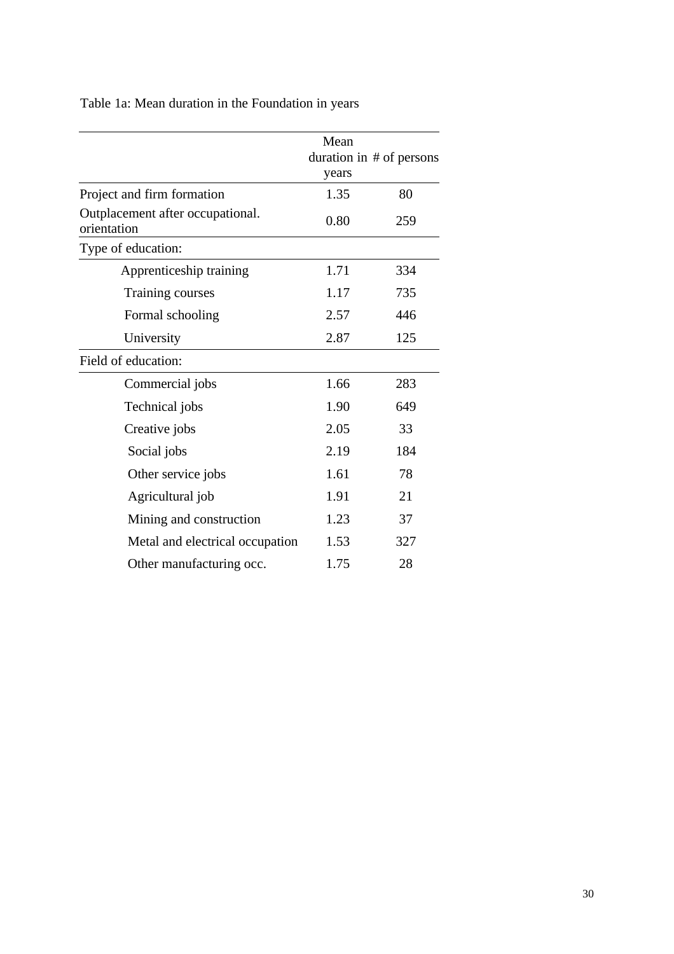|                                                 | Mean<br>years | duration in # of persons |
|-------------------------------------------------|---------------|--------------------------|
| Project and firm formation                      | 1.35          | 80                       |
| Outplacement after occupational.<br>orientation | 0.80          | 259                      |
| Type of education:                              |               |                          |
| Apprenticeship training                         | 1.71          | 334                      |
| Training courses                                | 1.17          | 735                      |
| Formal schooling                                | 2.57          | 446                      |
| University                                      | 2.87          | 125                      |
| Field of education:                             |               |                          |
| Commercial jobs                                 | 1.66          | 283                      |
| Technical jobs                                  | 1.90          | 649                      |
| Creative jobs                                   | 2.05          | 33                       |
| Social jobs                                     | 2.19          | 184                      |
| Other service jobs                              | 1.61          | 78                       |
| Agricultural job                                | 1.91          | 21                       |
| Mining and construction                         | 1.23          | 37                       |
| Metal and electrical occupation                 | 1.53          | 327                      |
| Other manufacturing occ.                        | 1.75          | 28                       |

Table 1a: Mean duration in the Foundation in years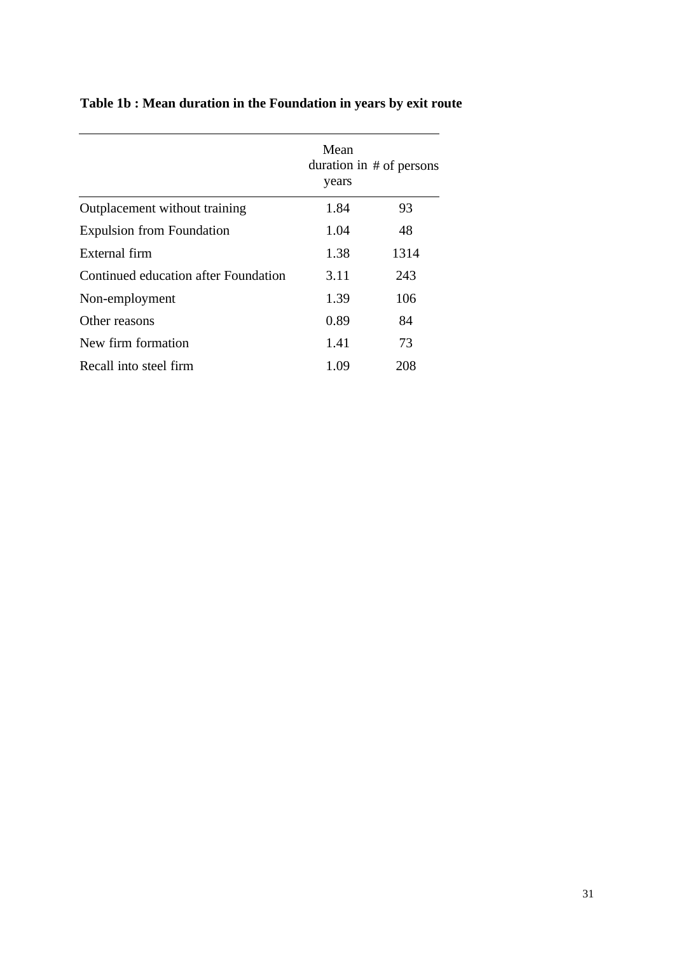|                                      | Mean<br>years | duration in $#$ of persons |
|--------------------------------------|---------------|----------------------------|
| Outplacement without training        | 1.84          | 93                         |
| <b>Expulsion from Foundation</b>     | 1.04          | 48                         |
| External firm                        | 1.38          | 1314                       |
| Continued education after Foundation | 3.11          | 243                        |
| Non-employment                       | 1.39          | 106                        |
| Other reasons                        | 0.89          | 84                         |
| New firm formation                   | 1.41          | 73                         |
| Recall into steel firm               | 1.09          | 208                        |

## **Table 1b : Mean duration in the Foundation in years by exit route**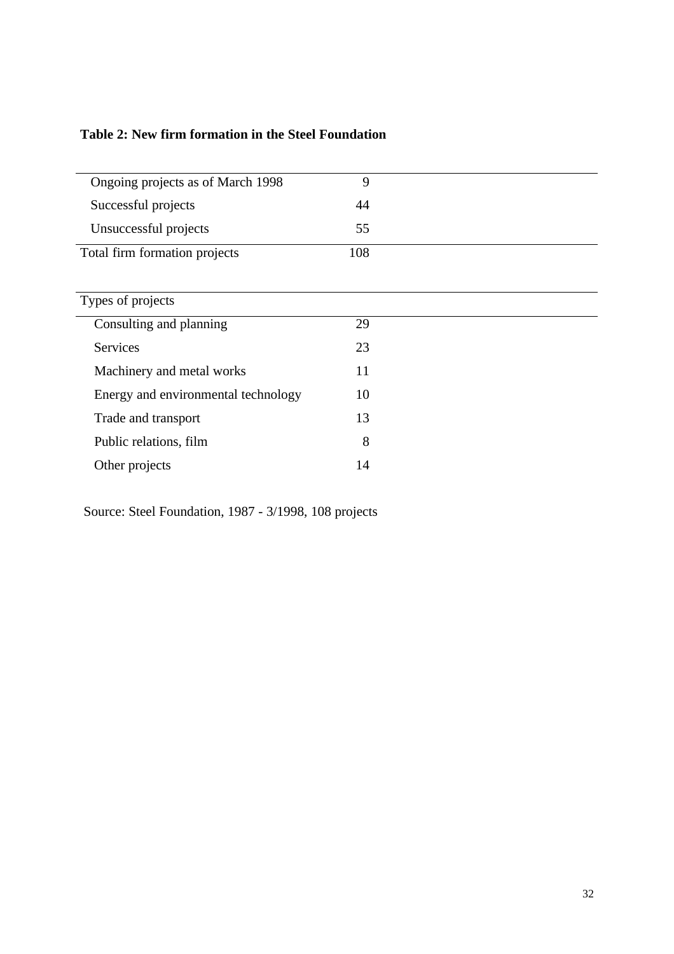|  |  | Table 2: New firm formation in the Steel Foundation |
|--|--|-----------------------------------------------------|
|--|--|-----------------------------------------------------|

| Ongoing projects as of March 1998   | 9   |  |
|-------------------------------------|-----|--|
| Successful projects                 | 44  |  |
| Unsuccessful projects               | 55  |  |
| Total firm formation projects       | 108 |  |
|                                     |     |  |
| Types of projects                   |     |  |
| Consulting and planning             | 29  |  |
| <b>Services</b>                     | 23  |  |
| Machinery and metal works           | 11  |  |
| Energy and environmental technology | 10  |  |
| Trade and transport                 | 13  |  |
| Public relations, film              | 8   |  |
| Other projects                      | 14  |  |

Source: Steel Foundation, 1987 - 3/1998, 108 projects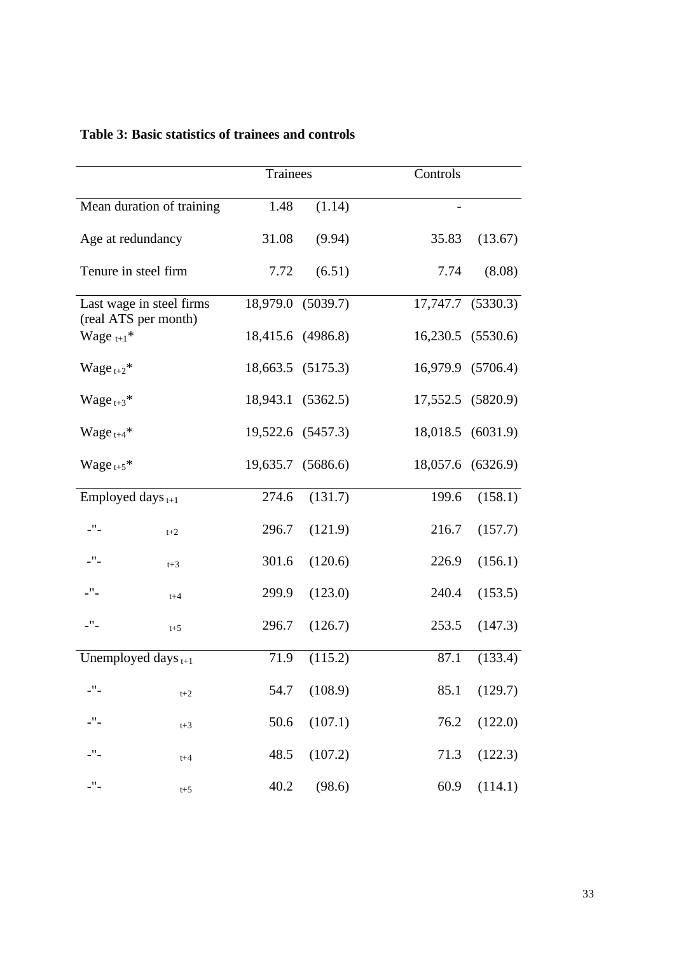|                                          |                           | Trainees |                   | Controls          |          |
|------------------------------------------|---------------------------|----------|-------------------|-------------------|----------|
|                                          | Mean duration of training | 1.48     | (1.14)            |                   |          |
| Age at redundancy                        |                           | 31.08    | (9.94)            | 35.83             | (13.67)  |
| Tenure in steel firm                     |                           | 7.72     | (6.51)            | 7.74              | (8.08)   |
|                                          | Last wage in steel firms  | 18,979.0 | (5039.7)          | 17,747.7          | (5330.3) |
| (real ATS per month)<br>Wage $_{t+1}^*$  |                           |          | 18,415.6 (4986.8) | 16,230.5          | (5530.6) |
| Wage $t+2$ <sup>*</sup>                  |                           |          | 18,663.5 (5175.3) | 16,979.9 (5706.4) |          |
| Wage $_{t+3}$ *                          |                           |          | 18,943.1 (5362.5) | 17,552.5 (5820.9) |          |
| Wage $_{t+4}$ *                          |                           |          | 19,522.6 (5457.3) | 18,018.5          | (6031.9) |
| Wage $_{t+5}$ *                          |                           |          | 19,635.7 (5686.6) | 18,057.6 (6326.9) |          |
| Employed days $_{t+1}$                   |                           | 274.6    | (131.7)           | 199.6             | (158.1)  |
| $\_^{\prime\prime} -$                    | $t+2$                     | 296.7    | (121.9)           | 216.7             | (157.7)  |
| $\_^{\mathrm{H}}\_$                      | $t+3$                     | 301.6    | (120.6)           | 226.9             | (156.1)  |
| $\_$ $\hspace{-1.5mm}$ $\hspace{-1.5mm}$ | $t + 4$                   | 299.9    | (123.0)           | 240.4             | (153.5)  |
| $-$ " $-$                                | $t+5$                     | 296.7    | (126.7)           | 253.5             | (147.3)  |
| Unemployed days $_{t+1}$                 |                           | 71.9     | (115.2)           | 87.1              | (133.4)  |
| $-$ " $-$                                | $t+2$                     | 54.7     | (108.9)           | 85.1              | (129.7)  |
| $-$ " $-$                                | $t+3$                     | 50.6     | (107.1)           | 76.2              | (122.0)  |
| $-$ " $-$                                | $t+4$                     | 48.5     | (107.2)           | 71.3              | (122.3)  |
| $\_^{\prime\prime} -$                    | $t+5$                     | 40.2     | (98.6)            | 60.9              | (114.1)  |

## **Table 3: Basic statistics of trainees and controls**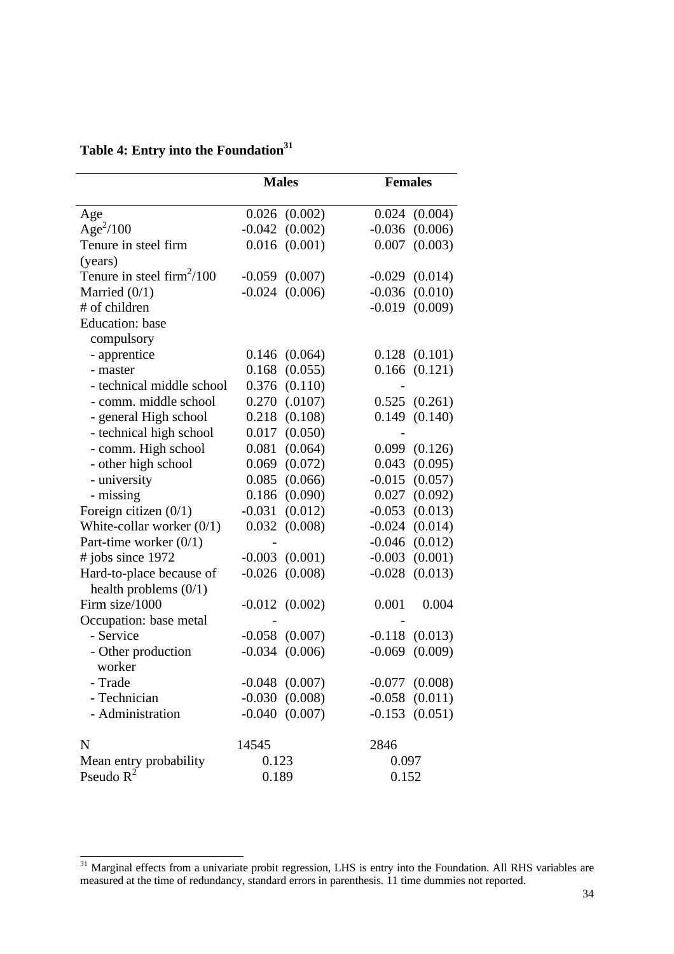|                                     | <b>Males</b> |                    | <b>Females</b> |                    |
|-------------------------------------|--------------|--------------------|----------------|--------------------|
|                                     |              |                    |                |                    |
| Age                                 |              | $0.026$ $(0.002)$  |                | $0.024$ $(0.004)$  |
| Age <sup>2</sup> /100               | $-0.042$     | (0.002)            | $-0.036$       | (0.006)            |
| Tenure in steel firm                | 0.016        | (0.001)            | 0.007          | (0.003)            |
| (years)                             |              |                    |                |                    |
| Tenure in steel $\text{firm}^2/100$ |              | $-0.059$ $(0.007)$ |                | $-0.029$ $(0.014)$ |
| Married $(0/1)$                     | $-0.024$     | (0.006)            | $-0.036$       | (0.010)            |
| # of children                       |              |                    | $-0.019$       | (0.009)            |
| <b>Education</b> : base             |              |                    |                |                    |
| compulsory                          |              |                    |                |                    |
| - apprentice                        | 0.146        | (0.064)            |                | $0.128$ $(0.101)$  |
| - master                            | 0.168        | (0.055)            |                | $0.166$ $(0.121)$  |
| - technical middle school           | 0.376        | (0.110)            |                |                    |
| - comm. middle school               | 0.270        | (.0107)            |                | 0.525(0.261)       |
| - general High school               | 0.218        | (0.108)            |                | $0.149$ $(0.140)$  |
| - technical high school             | 0.017        | (0.050)            |                |                    |
| - comm. High school                 | 0.081        | (0.064)            | 0.099          | (0.126)            |
| - other high school                 | 0.069        | (0.072)            | 0.043          | (0.095)            |
| - university                        | 0.085        | (0.066)            |                | $-0.015$ $(0.057)$ |
| - missing                           | 0.186        | (0.090)            | 0.027          | (0.092)            |
| Foreign citizen $(0/1)$             | $-0.031$     | (0.012)            | $-0.053$       | (0.013)            |
| White-collar worker $(0/1)$         | 0.032        | (0.008)            |                | $-0.024$ $(0.014)$ |
| Part-time worker $(0/1)$            |              |                    | -0.046         | (0.012)            |
| # jobs since 1972                   | $-0.003$     | (0.001)            | $-0.003$       | (0.001)            |
| Hard-to-place because of            | $-0.026$     | (0.008)            | $-0.028$       | (0.013)            |
| health problems $(0/1)$             |              |                    |                |                    |
| Firm size/1000                      |              | $-0.012$ $(0.002)$ | 0.001          | 0.004              |
| Occupation: base metal              |              |                    |                |                    |
| - Service                           |              | $-0.058$ $(0.007)$ |                | $-0.118$ $(0.013)$ |
| - Other production                  | $-0.034$     | (0.006)            | $-0.069$       | (0.009)            |
| worker                              |              |                    |                |                    |
| - Trade                             |              | $-0.048$ $(0.007)$ |                | $-0.077$ $(0.008)$ |
| - Technician                        |              | $-0.030$ $(0.008)$ |                | $-0.058$ $(0.011)$ |
| - Administration                    |              | $-0.040$ $(0.007)$ |                | $-0.153$ $(0.051)$ |
| $\mathbf N$                         | 14545        |                    | 2846           |                    |
| Mean entry probability              | 0.123        |                    | 0.097          |                    |
| Pseudo $R^2$                        | 0.189        |                    | 0.152          |                    |

# **Table 4: Entry into the Foundation<sup>31</sup>**

l

<sup>&</sup>lt;sup>31</sup> Marginal effects from a univariate probit regression, LHS is entry into the Foundation. All RHS variables are measured at the time of redundancy, standard errors in parenthesis. 11 time dummies not reported.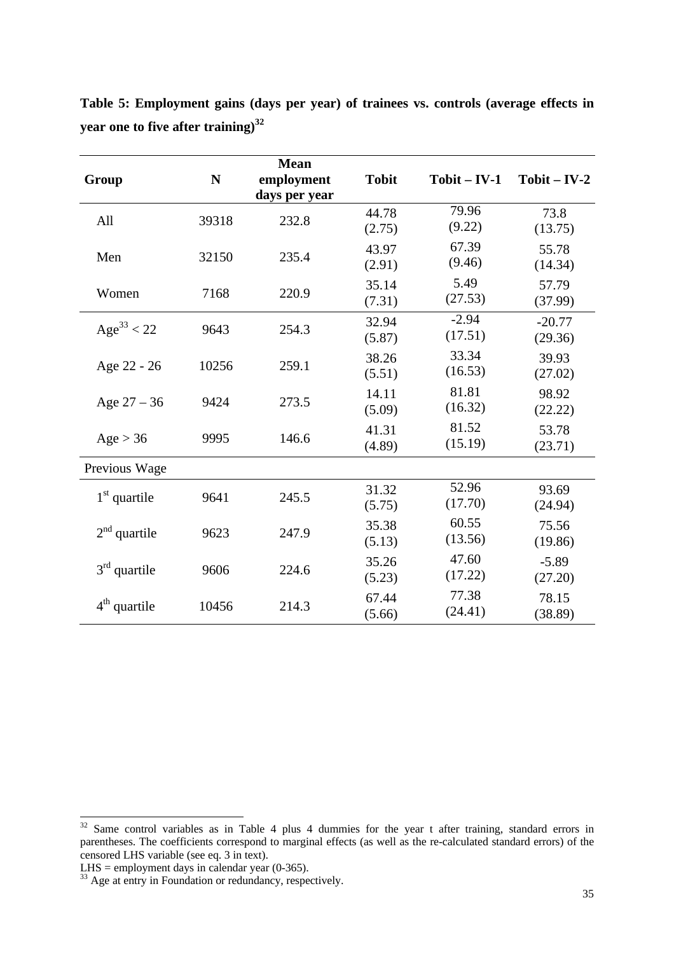| Group           | N     | <b>Mean</b><br>employment | <b>Tobit</b>    | $Tobit - IV-1$     | $Tobit - IV-2$      |
|-----------------|-------|---------------------------|-----------------|--------------------|---------------------|
| All             | 39318 | days per year<br>232.8    | 44.78<br>(2.75) | 79.96<br>(9.22)    | 73.8<br>(13.75)     |
| Men             | 32150 | 235.4                     | 43.97<br>(2.91) | 67.39<br>(9.46)    | 55.78<br>(14.34)    |
| Women           | 7168  | 220.9                     | 35.14<br>(7.31) | 5.49<br>(27.53)    | 57.79<br>(37.99)    |
| $Age^{33} < 22$ | 9643  | 254.3                     | 32.94<br>(5.87) | $-2.94$<br>(17.51) | $-20.77$<br>(29.36) |
| Age 22 - 26     | 10256 | 259.1                     | 38.26<br>(5.51) | 33.34<br>(16.53)   | 39.93<br>(27.02)    |
| Age $27 - 36$   | 9424  | 273.5                     | 14.11<br>(5.09) | 81.81<br>(16.32)   | 98.92<br>(22.22)    |
| Age > 36        | 9995  | 146.6                     | 41.31<br>(4.89) | 81.52<br>(15.19)   | 53.78<br>(23.71)    |
| Previous Wage   |       |                           |                 |                    |                     |
| $1st$ quartile  | 9641  | 245.5                     | 31.32<br>(5.75) | 52.96<br>(17.70)   | 93.69<br>(24.94)    |
| $2nd$ quartile  | 9623  | 247.9                     | 35.38<br>(5.13) | 60.55<br>(13.56)   | 75.56<br>(19.86)    |
| $3rd$ quartile  | 9606  | 224.6                     | 35.26<br>(5.23) | 47.60<br>(17.22)   | $-5.89$<br>(27.20)  |
| $4th$ quartile  | 10456 | 214.3                     | 67.44<br>(5.66) | 77.38<br>(24.41)   | 78.15<br>(38.89)    |

**Table 5: Employment gains (days per year) of trainees vs. controls (average effects in year one to five after training)<sup>32</sup>**

 $32$  Same control variables as in Table 4 plus 4 dummies for the year t after training, standard errors in parentheses. The coefficients correspond to marginal effects (as well as the re-calculated standard errors) of the censored LHS variable (see eq. 3 in text).

LHS  $=$  employment days in calendar year (0-365).

 $\frac{33}{33}$  Age at entry in Foundation or redundancy, respectively.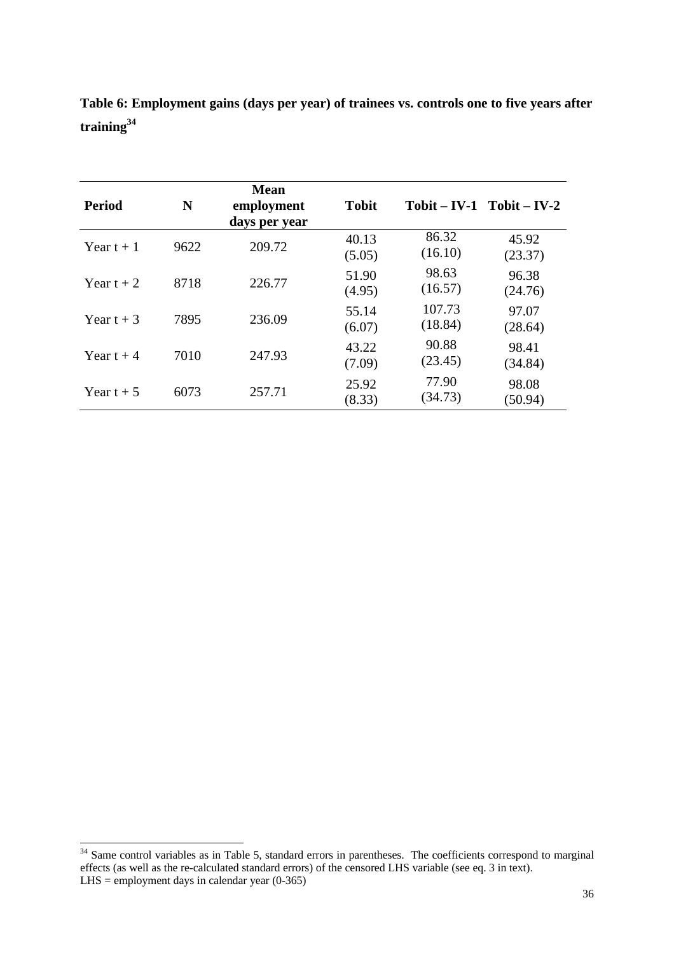| <b>Period</b> | N    | <b>Mean</b><br>employment<br>days per year | <b>Tobit</b>    |                   | $Tobit - IV-1$ $Tobit - IV-2$ |
|---------------|------|--------------------------------------------|-----------------|-------------------|-------------------------------|
| Year $t + 1$  | 9622 | 209.72                                     | 40.13<br>(5.05) | 86.32<br>(16.10)  | 45.92<br>(23.37)              |
| Year $t + 2$  | 8718 | 226.77                                     | 51.90<br>(4.95) | 98.63<br>(16.57)  | 96.38<br>(24.76)              |
| Year t $+3$   | 7895 | 236.09                                     | 55.14<br>(6.07) | 107.73<br>(18.84) | 97.07<br>(28.64)              |
| Year t $+4$   | 7010 | 247.93                                     | 43.22<br>(7.09) | 90.88<br>(23.45)  | 98.41<br>(34.84)              |
| Year t $+5$   | 6073 | 257.71                                     | 25.92<br>(8.33) | 77.90<br>(34.73)  | 98.08<br>(50.94)              |

**Table 6: Employment gains (days per year) of trainees vs. controls one to five years after training<sup>34</sup>**

<sup>-</sup> $34$  Same control variables as in Table 5, standard errors in parentheses. The coefficients correspond to marginal effects (as well as the re-calculated standard errors) of the censored LHS variable (see eq. 3 in text).  $L$ HS = employment days in calendar year (0-365)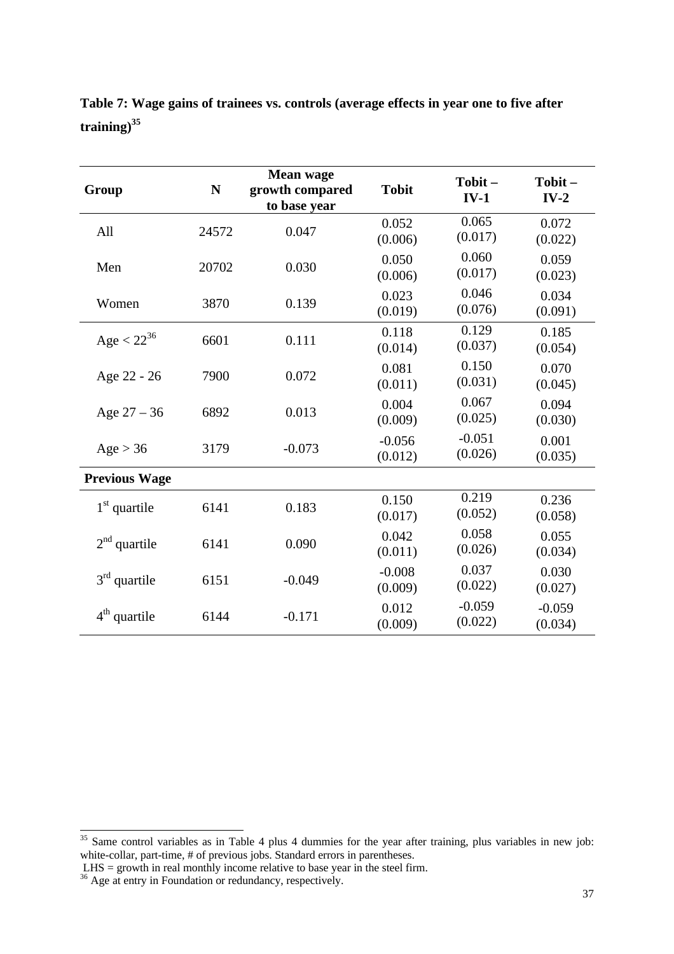| Group                | $\mathbf N$ | Mean wage<br>growth compared<br>to base year | <b>Tobit</b>        | Tobit-<br>$IV-1$    | Tobit-<br>$IV-2$    |
|----------------------|-------------|----------------------------------------------|---------------------|---------------------|---------------------|
| All                  | 24572       | 0.047                                        | 0.052<br>(0.006)    | 0.065<br>(0.017)    | 0.072<br>(0.022)    |
| Men                  | 20702       | 0.030                                        | 0.050<br>(0.006)    | 0.060<br>(0.017)    | 0.059<br>(0.023)    |
| Women                | 3870        | 0.139                                        | 0.023<br>(0.019)    | 0.046<br>(0.076)    | 0.034<br>(0.091)    |
| Age $< 22^{36}$      | 6601        | 0.111                                        | 0.118<br>(0.014)    | 0.129<br>(0.037)    | 0.185<br>(0.054)    |
| Age 22 - 26          | 7900        | 0.072                                        | 0.081<br>(0.011)    | 0.150<br>(0.031)    | 0.070<br>(0.045)    |
| Age $27 - 36$        | 6892        | 0.013                                        | 0.004<br>(0.009)    | 0.067<br>(0.025)    | 0.094<br>(0.030)    |
| Age > 36             | 3179        | $-0.073$                                     | $-0.056$<br>(0.012) | $-0.051$<br>(0.026) | 0.001<br>(0.035)    |
| <b>Previous Wage</b> |             |                                              |                     |                     |                     |
| $1st$ quartile       | 6141        | 0.183                                        | 0.150<br>(0.017)    | 0.219<br>(0.052)    | 0.236<br>(0.058)    |
| $2nd$ quartile       | 6141        | 0.090                                        | 0.042<br>(0.011)    | 0.058<br>(0.026)    | 0.055<br>(0.034)    |
| $3rd$ quartile       | 6151        | $-0.049$                                     | $-0.008$<br>(0.009) | 0.037<br>(0.022)    | 0.030<br>(0.027)    |
| $4th$ quartile       | 6144        | $-0.171$                                     | 0.012<br>(0.009)    | $-0.059$<br>(0.022) | $-0.059$<br>(0.034) |

**Table 7: Wage gains of trainees vs. controls (average effects in year one to five after training)<sup>35</sup>**

 $35$  Same control variables as in Table 4 plus 4 dummies for the year after training, plus variables in new job: white-collar, part-time, # of previous jobs. Standard errors in parentheses.

LHS = growth in real monthly income relative to base year in the steel firm.

<sup>&</sup>lt;sup>36</sup> Age at entry in Foundation or redundancy, respectively.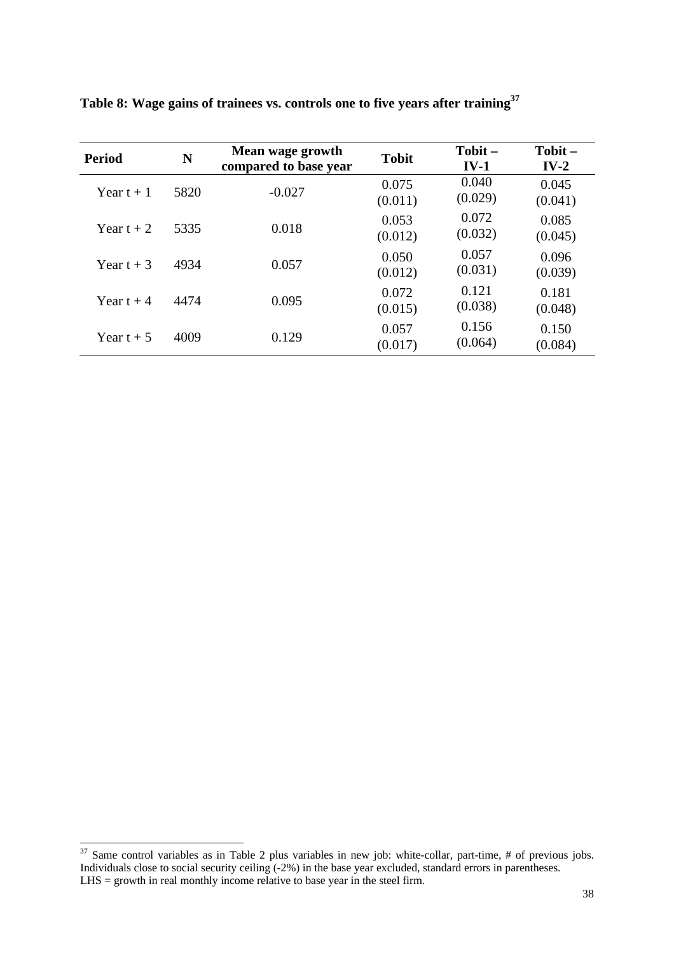| <b>Period</b> | N    | Mean wage growth<br>compared to base year | <b>Tobit</b>     | Tobit-<br>$IV-1$ | $\textbf{Tobit} -$<br>$IV-2$ |
|---------------|------|-------------------------------------------|------------------|------------------|------------------------------|
| Year $t + 1$  | 5820 | $-0.027$                                  | 0.075<br>(0.011) | 0.040<br>(0.029) | 0.045<br>(0.041)             |
| Year $t + 2$  | 5335 | 0.018                                     | 0.053<br>(0.012) | 0.072<br>(0.032) | 0.085<br>(0.045)             |
| Year $t + 3$  | 4934 | 0.057                                     | 0.050<br>(0.012) | 0.057<br>(0.031) | 0.096<br>(0.039)             |
| Year t $+4$   | 4474 | 0.095                                     | 0.072<br>(0.015) | 0.121<br>(0.038) | 0.181<br>(0.048)             |
| Year t $+5$   | 4009 | 0.129                                     | 0.057<br>(0.017) | 0.156<br>(0.064) | 0.150<br>(0.084)             |

**Table 8: Wage gains of trainees vs. controls one to five years after training<sup>37</sup>**

 $37$  Same control variables as in Table 2 plus variables in new job: white-collar, part-time, # of previous jobs. Individuals close to social security ceiling (-2%) in the base year excluded, standard errors in parentheses. LHS = growth in real monthly income relative to base year in the steel firm.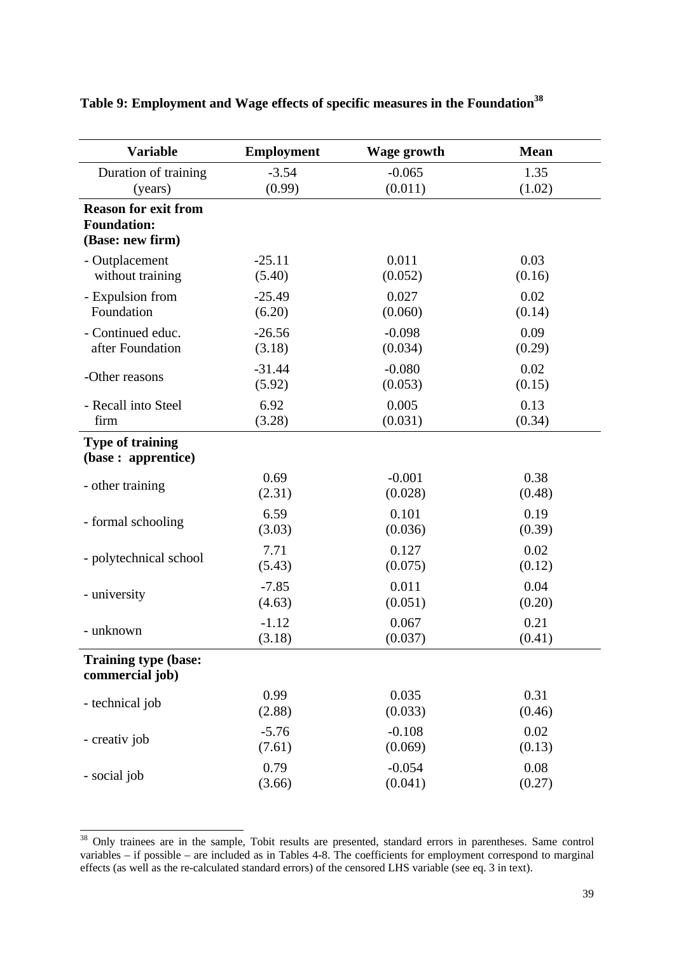| <b>Variable</b>                                                       | <b>Employment</b> | Wage growth | <b>Mean</b> |
|-----------------------------------------------------------------------|-------------------|-------------|-------------|
| Duration of training                                                  | $-3.54$           | $-0.065$    | 1.35        |
| (years)                                                               | (0.99)            | (0.011)     | (1.02)      |
| <b>Reason for exit from</b><br><b>Foundation:</b><br>(Base: new firm) |                   |             |             |
| - Outplacement                                                        | $-25.11$          | 0.011       | 0.03        |
| without training                                                      | (5.40)            | (0.052)     | (0.16)      |
| - Expulsion from                                                      | $-25.49$          | 0.027       | 0.02        |
| Foundation                                                            | (6.20)            | (0.060)     | (0.14)      |
| - Continued educ.                                                     | $-26.56$          | $-0.098$    | 0.09        |
| after Foundation                                                      | (3.18)            | (0.034)     | (0.29)      |
| -Other reasons                                                        | $-31.44$          | $-0.080$    | 0.02        |
|                                                                       | (5.92)            | (0.053)     | (0.15)      |
| - Recall into Steel                                                   | 6.92              | 0.005       | 0.13        |
| firm                                                                  | (3.28)            | (0.031)     | (0.34)      |
| <b>Type of training</b><br>(base: apprentice)                         |                   |             |             |
| - other training                                                      | 0.69              | $-0.001$    | 0.38        |
|                                                                       | (2.31)            | (0.028)     | (0.48)      |
| - formal schooling                                                    | 6.59              | 0.101       | 0.19        |
|                                                                       | (3.03)            | (0.036)     | (0.39)      |
| - polytechnical school                                                | 7.71              | 0.127       | 0.02        |
|                                                                       | (5.43)            | (0.075)     | (0.12)      |
| - university                                                          | $-7.85$           | 0.011       | 0.04        |
|                                                                       | (4.63)            | (0.051)     | (0.20)      |
| - unknown                                                             | $-1.12$           | 0.067       | 0.21        |
|                                                                       | (3.18)            | (0.037)     | (0.41)      |
| <b>Training type (base:</b><br>commercial job)                        |                   |             |             |
| - technical job                                                       | 0.99              | 0.035       | 0.31        |
|                                                                       | (2.88)            | (0.033)     | (0.46)      |
| - creativ job                                                         | $-5.76$           | $-0.108$    | 0.02        |
|                                                                       | (7.61)            | (0.069)     | (0.13)      |
| - social job                                                          | 0.79              | $-0.054$    | 0.08        |
|                                                                       | (3.66)            | (0.041)     | (0.27)      |

## **Table 9: Employment and Wage effects of specific measures in the Foundation<sup>38</sup>**

<sup>&</sup>lt;sup>38</sup> Only trainees are in the sample, Tobit results are presented, standard errors in parentheses. Same control variables – if possible – are included as in Tables 4-8. The coefficients for employment correspond to marginal effects (as well as the re-calculated standard errors) of the censored LHS variable (see eq. 3 in text).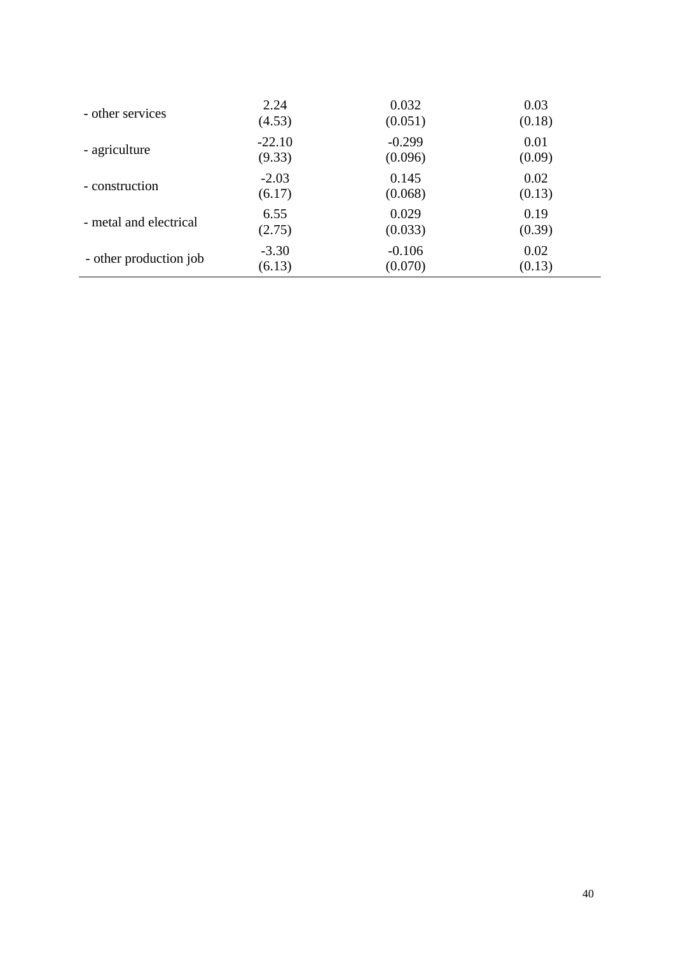| - other services       | 2.24     | 0.032    | 0.03   |
|------------------------|----------|----------|--------|
|                        | (4.53)   | (0.051)  | (0.18) |
| - agriculture          | $-22.10$ | $-0.299$ | 0.01   |
|                        | (9.33)   | (0.096)  | (0.09) |
| - construction         | $-2.03$  | 0.145    | 0.02   |
|                        | (6.17)   | (0.068)  | (0.13) |
| - metal and electrical | 6.55     | 0.029    | 0.19   |
|                        | (2.75)   | (0.033)  | (0.39) |
| - other production job | $-3.30$  | $-0.106$ | 0.02   |
|                        | (6.13)   | (0.070)  | (0.13) |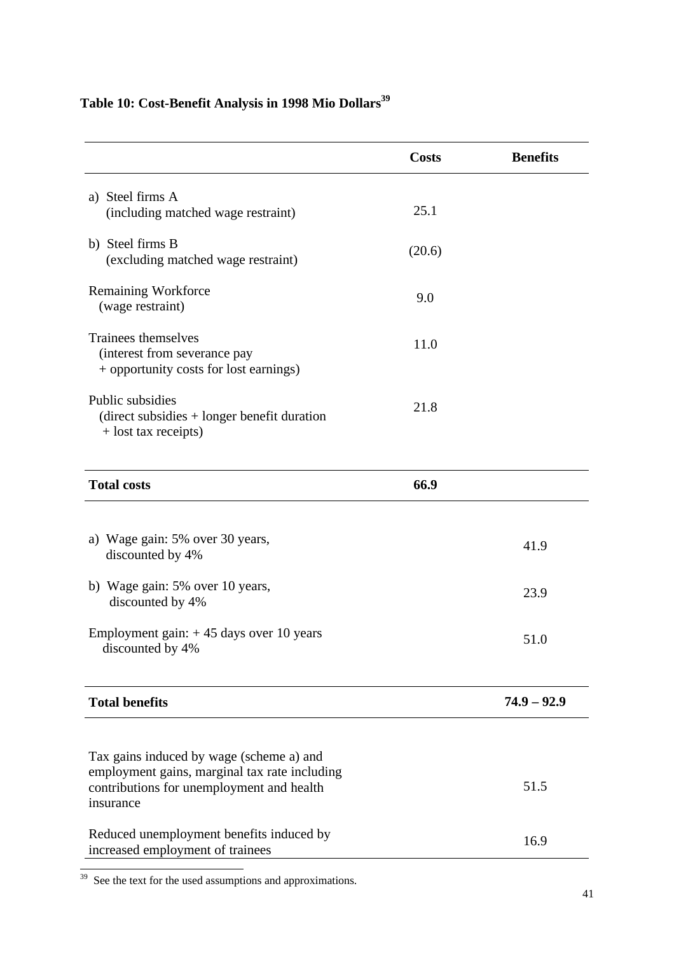# **Table 10: Cost-Benefit Analysis in 1998 Mio Dollars<sup>39</sup>**

|                                                                                                                                                     | <b>Costs</b> | <b>Benefits</b> |
|-----------------------------------------------------------------------------------------------------------------------------------------------------|--------------|-----------------|
| a) Steel firms A<br>(including matched wage restraint)                                                                                              | 25.1         |                 |
| b) Steel firms B<br>(excluding matched wage restraint)                                                                                              | (20.6)       |                 |
| Remaining Workforce<br>(wage restraint)                                                                                                             | 9.0          |                 |
| Trainees themselves<br>(interest from severance pay<br>+ opportunity costs for lost earnings)                                                       | 11.0         |                 |
| Public subsidies<br>$(direct$ subsidies $+$ longer benefit duration<br>+ lost tax receipts)                                                         | 21.8         |                 |
| <b>Total costs</b>                                                                                                                                  | 66.9         |                 |
| a) Wage gain: 5% over 30 years,<br>discounted by 4%                                                                                                 |              | 41.9            |
| b) Wage gain: 5% over 10 years,<br>discounted by 4%                                                                                                 |              | 23.9            |
| Employment gain: $+45$ days over 10 years<br>discounted by 4%                                                                                       |              | 51.0            |
| <b>Total benefits</b>                                                                                                                               |              | $74.9 - 92.9$   |
|                                                                                                                                                     |              |                 |
| Tax gains induced by wage (scheme a) and<br>employment gains, marginal tax rate including<br>contributions for unemployment and health<br>insurance |              | 51.5            |
| Reduced unemployment benefits induced by<br>increased employment of trainees                                                                        |              | 16.9            |

<u> 1980 - Johann Barn, mars ann an t-Amhain Aonaich an t-Aonaich an t-Aonaich an t-Aonaich an t-Aonaich an t-Aon</u>

<sup>-</sup><sup>39</sup> See the text for the used assumptions and approximations.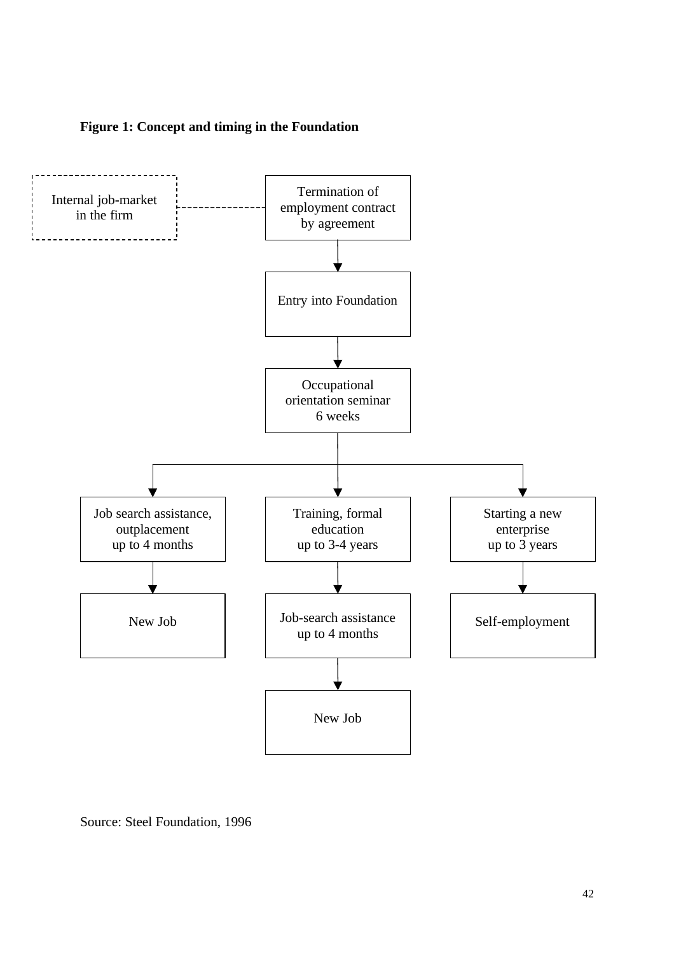



Source: Steel Foundation, 1996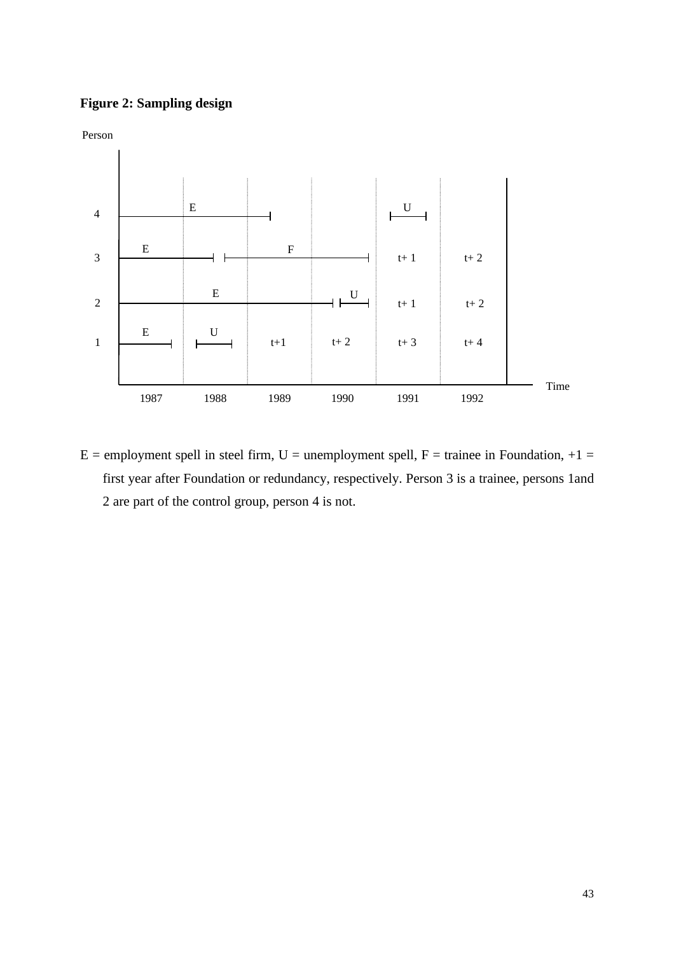## **Figure 2: Sampling design**



 $E =$  employment spell in steel firm, U = unemployment spell, F = trainee in Foundation, +1 = first year after Foundation or redundancy, respectively. Person 3 is a trainee, persons 1and 2 are part of the control group, person 4 is not.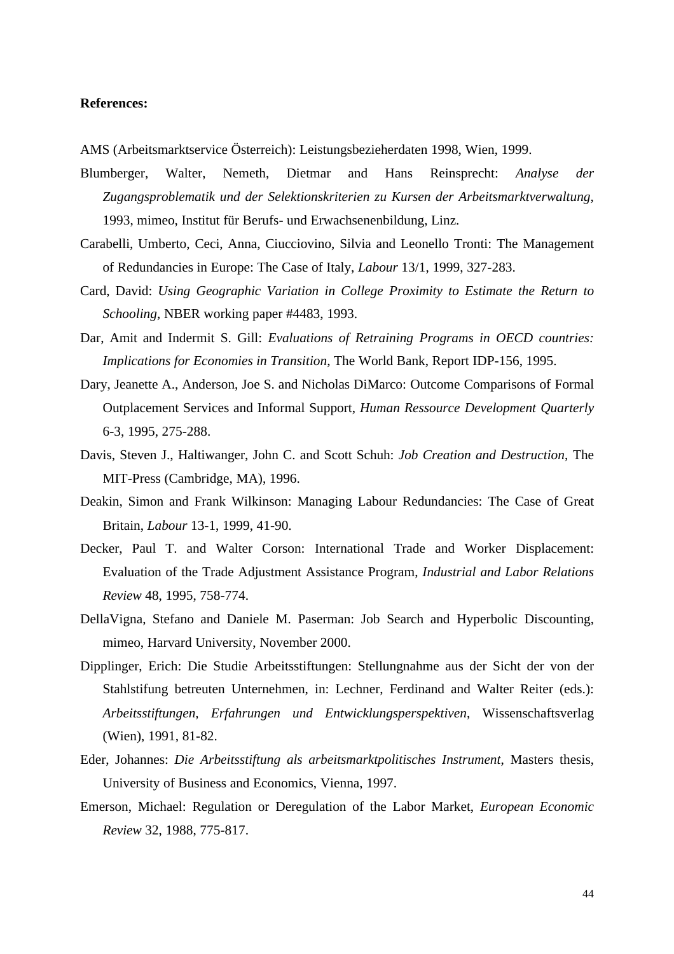#### **References:**

AMS (Arbeitsmarktservice Österreich): Leistungsbezieherdaten 1998, Wien, 1999.

- Blumberger, Walter, Nemeth, Dietmar and Hans Reinsprecht: *Analyse der Zugangsproblematik und der Selektionskriterien zu Kursen der Arbeitsmarktverwaltung*, 1993, mimeo, Institut für Berufs- und Erwachsenenbildung, Linz.
- Carabelli, Umberto, Ceci, Anna, Ciucciovino, Silvia and Leonello Tronti: The Management of Redundancies in Europe: The Case of Italy, *Labour* 13/1, 1999, 327-283.
- Card, David: *Using Geographic Variation in College Proximity to Estimate the Return to Schooling*, NBER working paper #4483, 1993.
- Dar, Amit and Indermit S. Gill: *Evaluations of Retraining Programs in OECD countries: Implications for Economies in Transition*, The World Bank, Report IDP-156, 1995.
- Dary, Jeanette A., Anderson, Joe S. and Nicholas DiMarco: Outcome Comparisons of Formal Outplacement Services and Informal Support, *Human Ressource Development Quarterly* 6-3, 1995, 275-288.
- Davis, Steven J., Haltiwanger, John C. and Scott Schuh: *Job Creation and Destruction*, The MIT-Press (Cambridge, MA), 1996.
- Deakin, Simon and Frank Wilkinson: Managing Labour Redundancies: The Case of Great Britain, *Labour* 13-1, 1999, 41-90.
- Decker, Paul T. and Walter Corson: International Trade and Worker Displacement: Evaluation of the Trade Adjustment Assistance Program, *Industrial and Labor Relations Review* 48, 1995, 758-774.
- DellaVigna, Stefano and Daniele M. Paserman: Job Search and Hyperbolic Discounting, mimeo, Harvard University, November 2000.
- Dipplinger, Erich: Die Studie Arbeitsstiftungen: Stellungnahme aus der Sicht der von der Stahlstifung betreuten Unternehmen, in: Lechner, Ferdinand and Walter Reiter (eds.): *Arbeitsstiftungen, Erfahrungen und Entwicklungsperspektiven*, Wissenschaftsverlag (Wien), 1991, 81-82.
- Eder, Johannes: *Die Arbeitsstiftung als arbeitsmarktpolitisches Instrument*, Masters thesis, University of Business and Economics, Vienna, 1997.
- Emerson, Michael: Regulation or Deregulation of the Labor Market, *European Economic Review* 32, 1988, 775-817.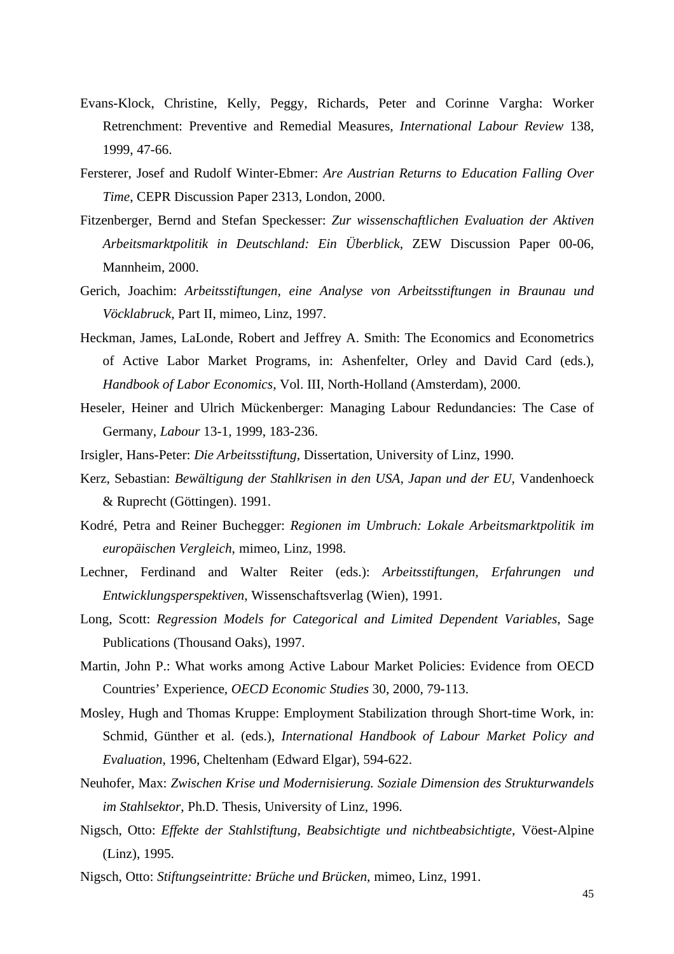- Evans-Klock, Christine, Kelly, Peggy, Richards, Peter and Corinne Vargha: Worker Retrenchment: Preventive and Remedial Measures, *International Labour Review* 138, 1999, 47-66.
- Fersterer, Josef and Rudolf Winter-Ebmer: *Are Austrian Returns to Education Falling Over Time*, CEPR Discussion Paper 2313, London, 2000.
- Fitzenberger, Bernd and Stefan Speckesser: *Zur wissenschaftlichen Evaluation der Aktiven Arbeitsmarktpolitik in Deutschland: Ein Überblick*, ZEW Discussion Paper 00-06, Mannheim, 2000.
- Gerich, Joachim: *Arbeitsstiftungen, eine Analyse von Arbeitsstiftungen in Braunau und Vöcklabruck*, Part II, mimeo, Linz, 1997.
- Heckman, James, LaLonde, Robert and Jeffrey A. Smith: The Economics and Econometrics of Active Labor Market Programs, in: Ashenfelter, Orley and David Card (eds.), *Handbook of Labor Economics*, Vol. III, North-Holland (Amsterdam), 2000.
- Heseler, Heiner and Ulrich Mückenberger: Managing Labour Redundancies: The Case of Germany, *Labour* 13-1, 1999, 183-236.
- Irsigler, Hans-Peter: *Die Arbeitsstiftung*, Dissertation, University of Linz, 1990.
- Kerz, Sebastian: *Bewältigung der Stahlkrisen in den USA, Japan und der EU*, Vandenhoeck & Ruprecht (Göttingen). 1991.
- Kodré, Petra and Reiner Buchegger: *Regionen im Umbruch: Lokale Arbeitsmarktpolitik im europäischen Vergleich*, mimeo, Linz, 1998.
- Lechner, Ferdinand and Walter Reiter (eds.): *Arbeitsstiftungen, Erfahrungen und Entwicklungsperspektiven*, Wissenschaftsverlag (Wien), 1991.
- Long, Scott: *Regression Models for Categorical and Limited Dependent Variables*, Sage Publications (Thousand Oaks), 1997.
- Martin, John P.: What works among Active Labour Market Policies: Evidence from OECD Countries' Experience, *OECD Economic Studies* 30, 2000, 79-113.
- Mosley, Hugh and Thomas Kruppe: Employment Stabilization through Short-time Work, in: Schmid, Günther et al. (eds.), *International Handbook of Labour Market Policy and Evaluation*, 1996, Cheltenham (Edward Elgar), 594-622.
- Neuhofer, Max: *Zwischen Krise und Modernisierung. Soziale Dimension des Strukturwandels im Stahlsektor*, Ph.D. Thesis, University of Linz, 1996.
- Nigsch, Otto: *Effekte der Stahlstiftung, Beabsichtigte und nichtbeabsichtigte*, Vöest-Alpine (Linz), 1995.
- Nigsch, Otto: *Stiftungseintritte: Brüche und Brücken*, mimeo, Linz, 1991.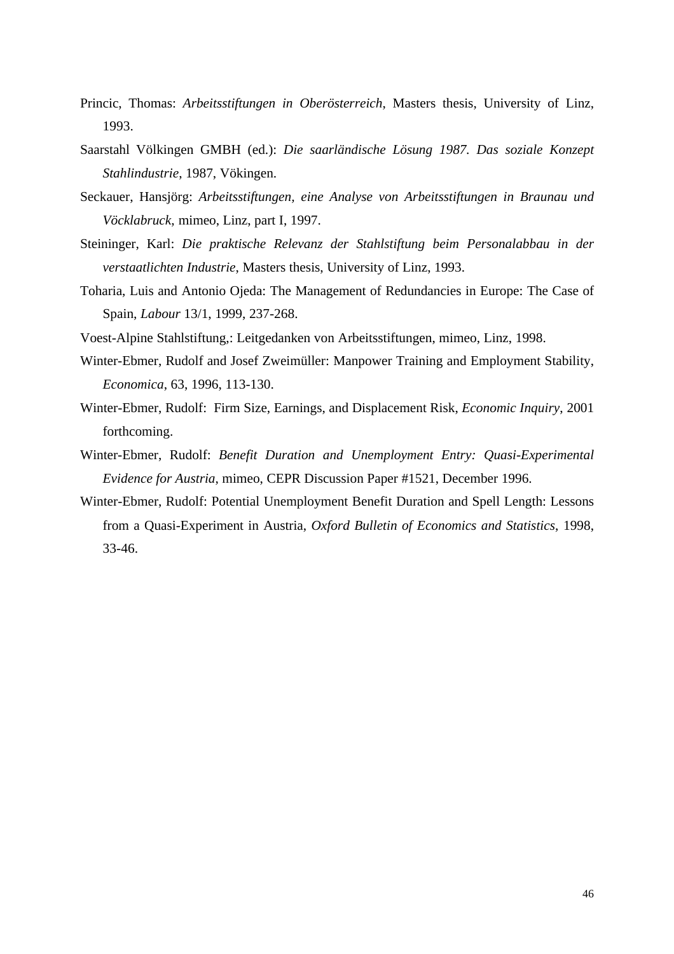- Princic, Thomas: *Arbeitsstiftungen in Oberösterreich*, Masters thesis, University of Linz, 1993.
- Saarstahl Völkingen GMBH (ed.): *Die saarländische Lösung 1987. Das soziale Konzept Stahlindustrie*, 1987, Vökingen.
- Seckauer, Hansjörg: *Arbeitsstiftungen, eine Analyse von Arbeitsstiftungen in Braunau und Vöcklabruck*, mimeo, Linz, part I, 1997.
- Steininger, Karl: *Die praktische Relevanz der Stahlstiftung beim Personalabbau in der verstaatlichten Industrie*, Masters thesis, University of Linz, 1993.
- Toharia, Luis and Antonio Ojeda: The Management of Redundancies in Europe: The Case of Spain, *Labour* 13/1, 1999, 237-268.
- Voest-Alpine Stahlstiftung,: Leitgedanken von Arbeitsstiftungen, mimeo, Linz, 1998.
- Winter-Ebmer, Rudolf and Josef Zweimüller: Manpower Training and Employment Stability, *Economica*, 63, 1996, 113-130.
- Winter-Ebmer, Rudolf: Firm Size, Earnings, and Displacement Risk, *Economic Inquiry*, 2001 forthcoming.
- Winter-Ebmer, Rudolf: *Benefit Duration and Unemployment Entry: Quasi-Experimental Evidence for Austria*, mimeo, CEPR Discussion Paper #1521, December 1996.
- Winter-Ebmer, Rudolf: Potential Unemployment Benefit Duration and Spell Length: Lessons from a Quasi-Experiment in Austria, *Oxford Bulletin of Economics and Statistics*, 1998, 33-46.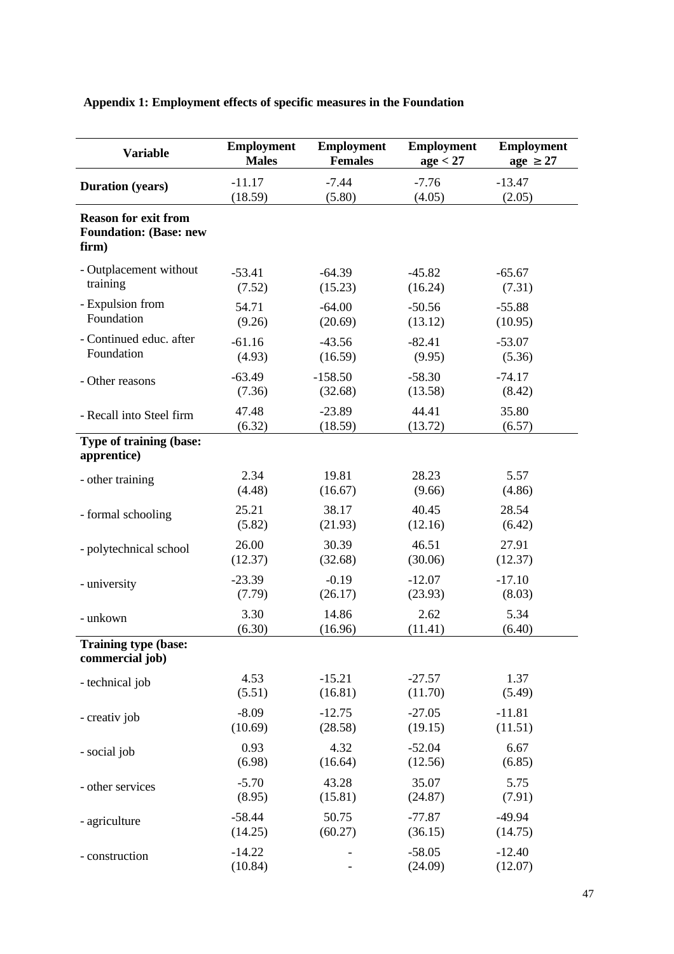| <b>Variable</b>                                                       | <b>Employment</b>   | <b>Employment</b> | <b>Employment</b>   | <b>Employment</b>   |
|-----------------------------------------------------------------------|---------------------|-------------------|---------------------|---------------------|
|                                                                       | <b>Males</b>        | <b>Females</b>    | age < 27            | $age \geq 27$       |
| <b>Duration</b> (years)                                               | $-11.17$            | $-7.44$           | $-7.76$             | $-13.47$            |
|                                                                       | (18.59)             | (5.80)            | (4.05)              | (2.05)              |
| <b>Reason for exit from</b><br><b>Foundation: (Base: new</b><br>firm) |                     |                   |                     |                     |
| - Outplacement without                                                | $-53.41$            | $-64.39$          | $-45.82$            | $-65.67$            |
| training                                                              | (7.52)              | (15.23)           | (16.24)             | (7.31)              |
| - Expulsion from                                                      | 54.71               | $-64.00$          | $-50.56$            | $-55.88$            |
| Foundation                                                            | (9.26)              | (20.69)           | (13.12)             | (10.95)             |
| - Continued educ. after                                               | $-61.16$            | $-43.56$          | $-82.41$            | $-53.07$            |
| Foundation                                                            | (4.93)              | (16.59)           | (9.95)              | (5.36)              |
| - Other reasons                                                       | $-63.49$            | $-158.50$         | $-58.30$            | $-74.17$            |
|                                                                       | (7.36)              | (32.68)           | (13.58)             | (8.42)              |
| - Recall into Steel firm                                              | 47.48               | $-23.89$          | 44.41               | 35.80               |
|                                                                       | (6.32)              | (18.59)           | (13.72)             | (6.57)              |
| Type of training (base:<br>apprentice)                                |                     |                   |                     |                     |
| - other training                                                      | 2.34                | 19.81             | 28.23               | 5.57                |
|                                                                       | (4.48)              | (16.67)           | (9.66)              | (4.86)              |
| - formal schooling                                                    | 25.21               | 38.17             | 40.45               | 28.54               |
|                                                                       | (5.82)              | (21.93)           | (12.16)             | (6.42)              |
| - polytechnical school                                                | 26.00               | 30.39             | 46.51               | 27.91               |
|                                                                       | (12.37)             | (32.68)           | (30.06)             | (12.37)             |
| - university                                                          | $-23.39$            | $-0.19$           | $-12.07$            | $-17.10$            |
|                                                                       | (7.79)              | (26.17)           | (23.93)             | (8.03)              |
| - unkown                                                              | 3.30                | 14.86             | 2.62                | 5.34                |
|                                                                       | (6.30)              | (16.96)           | (11.41)             | (6.40)              |
| Training type (base:<br>commercial job)                               |                     |                   |                     |                     |
| - technical job                                                       | 4.53                | $-15.21$          | $-27.57$            | 1.37                |
|                                                                       | (5.51)              | (16.81)           | (11.70)             | (5.49)              |
| - creativ job                                                         | $-8.09$             | $-12.75$          | $-27.05$            | $-11.81$            |
|                                                                       | (10.69)             | (28.58)           | (19.15)             | (11.51)             |
| - social job                                                          | 0.93                | 4.32              | $-52.04$            | 6.67                |
|                                                                       | (6.98)              | (16.64)           | (12.56)             | (6.85)              |
| - other services                                                      | $-5.70$             | 43.28             | 35.07               | 5.75                |
|                                                                       | (8.95)              | (15.81)           | (24.87)             | (7.91)              |
| - agriculture                                                         | $-58.44$            | 50.75             | $-77.87$            | $-49.94$            |
|                                                                       | (14.25)             | (60.27)           | (36.15)             | (14.75)             |
| - construction                                                        | $-14.22$<br>(10.84) |                   | $-58.05$<br>(24.09) | $-12.40$<br>(12.07) |

## **Appendix 1: Employment effects of specific measures in the Foundation**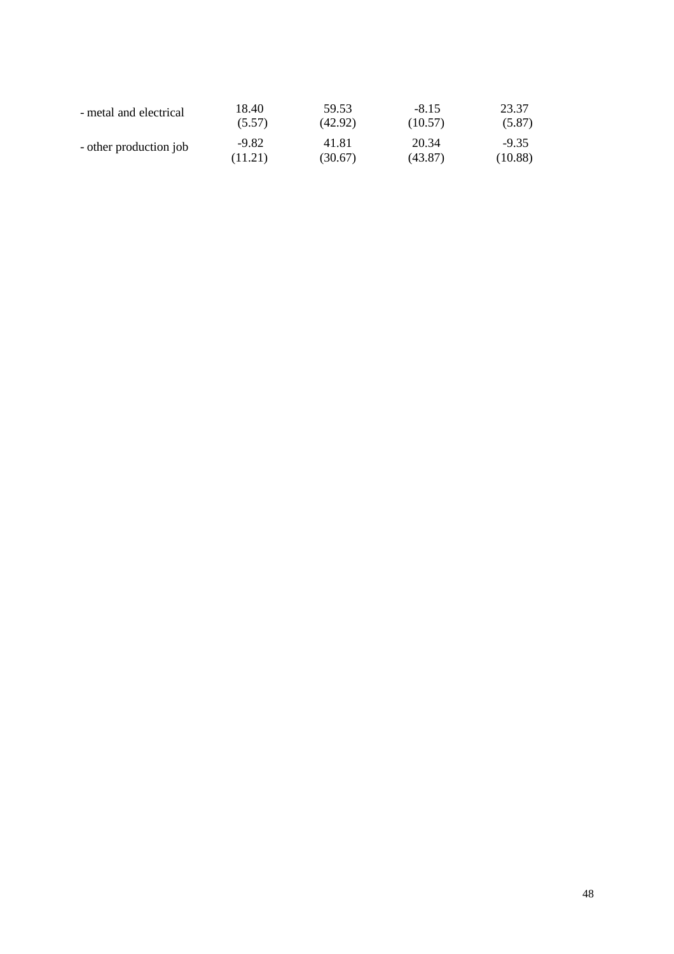| - metal and electrical | 18.40   | 59.53   | $-8.15$ | 23.37   |
|------------------------|---------|---------|---------|---------|
|                        | (5.57)  | (42.92) | (10.57) | (5.87)  |
| - other production job | $-9.82$ | 41.81   | 20.34   | $-9.35$ |
|                        | (11.21) | (30.67) | (43.87) | (10.88) |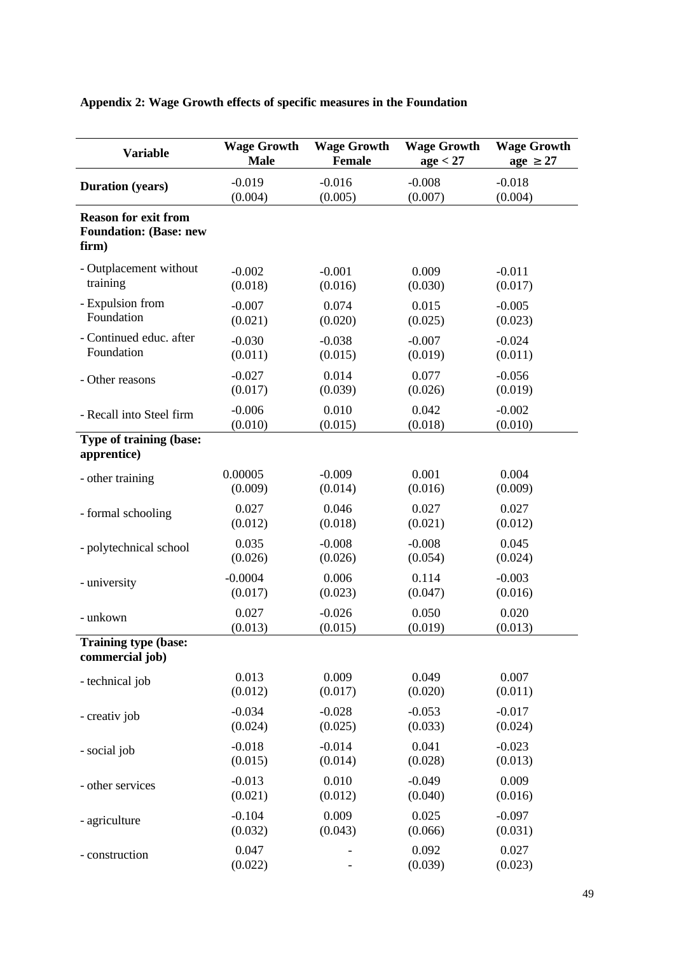| <b>Variable</b>                                                       | <b>Wage Growth</b> | <b>Wage Growth</b> | <b>Wage Growth</b> | <b>Wage Growth</b> |
|-----------------------------------------------------------------------|--------------------|--------------------|--------------------|--------------------|
|                                                                       | <b>Male</b>        | Female             | age < 27           | $age \geq 27$      |
| <b>Duration</b> (years)                                               | $-0.019$           | $-0.016$           | $-0.008$           | $-0.018$           |
|                                                                       | (0.004)            | (0.005)            | (0.007)            | (0.004)            |
| <b>Reason for exit from</b><br><b>Foundation: (Base: new</b><br>firm) |                    |                    |                    |                    |
| - Outplacement without                                                | $-0.002$           | $-0.001$           | 0.009              | $-0.011$           |
| training                                                              | (0.018)            | (0.016)            | (0.030)            | (0.017)            |
| - Expulsion from                                                      | $-0.007$           | 0.074              | 0.015              | $-0.005$           |
| Foundation                                                            | (0.021)            | (0.020)            | (0.025)            | (0.023)            |
| - Continued educ. after                                               | $-0.030$           | $-0.038$           | $-0.007$           | $-0.024$           |
| Foundation                                                            | (0.011)            | (0.015)            | (0.019)            | (0.011)            |
| - Other reasons                                                       | $-0.027$           | 0.014              | 0.077              | $-0.056$           |
|                                                                       | (0.017)            | (0.039)            | (0.026)            | (0.019)            |
| - Recall into Steel firm                                              | $-0.006$           | 0.010              | 0.042              | $-0.002$           |
|                                                                       | (0.010)            | (0.015)            | (0.018)            | (0.010)            |
| Type of training (base:<br>apprentice)                                |                    |                    |                    |                    |
| - other training                                                      | 0.00005            | $-0.009$           | 0.001              | 0.004              |
|                                                                       | (0.009)            | (0.014)            | (0.016)            | (0.009)            |
| - formal schooling                                                    | 0.027              | 0.046              | 0.027              | 0.027              |
|                                                                       | (0.012)            | (0.018)            | (0.021)            | (0.012)            |
| - polytechnical school                                                | 0.035              | $-0.008$           | $-0.008$           | 0.045              |
|                                                                       | (0.026)            | (0.026)            | (0.054)            | (0.024)            |
| - university                                                          | $-0.0004$          | 0.006              | 0.114              | $-0.003$           |
|                                                                       | (0.017)            | (0.023)            | (0.047)            | (0.016)            |
| - unkown                                                              | 0.027              | $-0.026$           | 0.050              | 0.020              |
|                                                                       | (0.013)            | (0.015)            | (0.019)            | (0.013)            |
| Training type (base:<br>commercial job)                               |                    |                    |                    |                    |
| - technical job                                                       | 0.013              | 0.009              | 0.049              | 0.007              |
|                                                                       | (0.012)            | (0.017)            | (0.020)            | (0.011)            |
| - creativ job                                                         | $-0.034$           | $-0.028$           | $-0.053$           | $-0.017$           |
|                                                                       | (0.024)            | (0.025)            | (0.033)            | (0.024)            |
| - social job                                                          | $-0.018$           | $-0.014$           | 0.041              | $-0.023$           |
|                                                                       | (0.015)            | (0.014)            | (0.028)            | (0.013)            |
| - other services                                                      | $-0.013$           | 0.010              | $-0.049$           | 0.009              |
|                                                                       | (0.021)            | (0.012)            | (0.040)            | (0.016)            |
| - agriculture                                                         | $-0.104$           | 0.009              | 0.025              | $-0.097$           |
|                                                                       | (0.032)            | (0.043)            | (0.066)            | (0.031)            |
| - construction                                                        | 0.047<br>(0.022)   |                    | 0.092<br>(0.039)   | 0.027<br>(0.023)   |

## **Appendix 2: Wage Growth effects of specific measures in the Foundation**